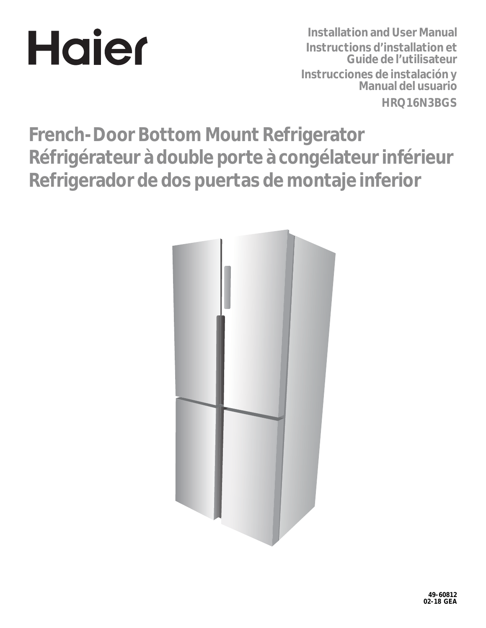# **Hajer**

**Installation and User Manual Instructions d'installation et Guide de l'utilisateur Instrucciones de instalación y Manual del usuario HRQ16N3BGS**

**French-Door Bottom Mount Refrigerator Réfrigérateur à double porte à congélateur inférieur Refrigerador de dos puertas de montaje inferior**

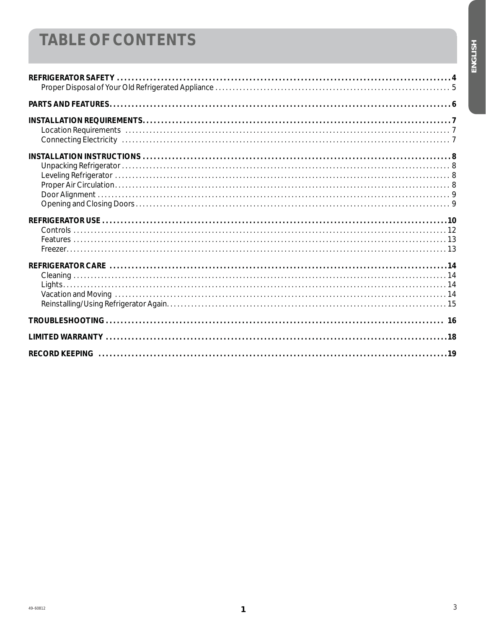### **TABLE OF CONTENTS**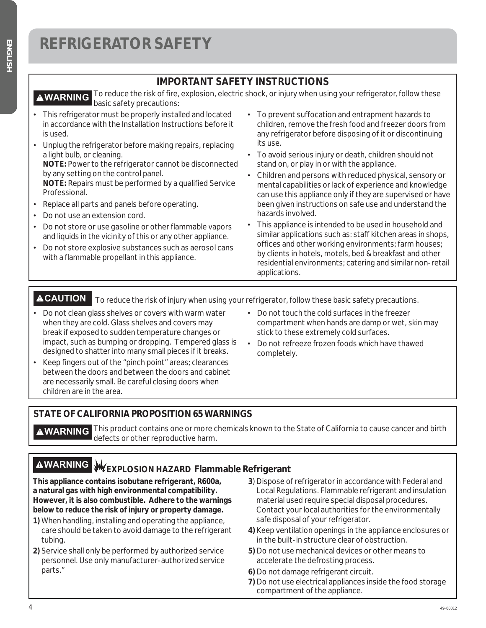#### **IMPORTANT SAFETY INSTRUCTIONS**

To reduce the risk of fire, explosion, electric shock, or injury when using your refrigerator, follow these **AWARNING** To reduce the now of **AWARNING** basic safety precautions:

- This refrigerator must be properly installed and located in accordance with the Installation Instructions before it is used.
- ¿ Unplug the refrigerator before making repairs, replacing a light bulb, or cleaning. **NOTE:** Power to the refrigerator cannot be disconnected by any setting on the control panel. **NOTE:** Repairs must be performed by a qualified Service Professional.
- ¿ Replace all parts and panels before operating.
- Do not use an extension cord.
- Do not store or use gasoline or other flammable vapors and liquids in the vicinity of this or any other appliance.
- Do not store explosive substances such as aerosol cans with a flammable propellant in this appliance.
- ¿ To prevent suffocation and entrapment hazards to children, remove the fresh food and freezer doors from any refrigerator before disposing of it or discontinuing its use.
- ¿ To avoid serious injury or death, children should not stand on, or play in or with the appliance.
- ¿ Children and persons with reduced physical, sensory or mental capabilities or lack of experience and knowledge can use this appliance only if they are supervised or have been given instructions on safe use and understand the hazards involved.
- This appliance is intended to be used in household and similar applications such as: staff kitchen areas in shops, offices and other working environments; farm houses; by clients in hotels, motels, bed & breakfast and other residential environments; catering and similar non-retail applications.

**ACAUTION** To reduce the risk of injury when using your refrigerator, follow these basic safety precautions.

- Do not clean glass shelves or covers with warm water when they are cold. Glass shelves and covers may break if exposed to sudden temperature changes or impact, such as bumping or dropping. Tempered glass is designed to shatter into many small pieces if it breaks.
- Keep fingers out of the "pinch point" areas; clearances between the doors and between the doors and cabinet are necessarily small. Be careful closing doors when children are in the area.
- ¿ Do not touch the cold surfaces in the freezer compartment when hands are damp or wet, skin may stick to these extremely cold surfaces.
- ¿ Do not refreeze frozen foods which have thawed completely.

#### **STATE OF CALIFORNIA PROPOSITION 65 WARNINGS**

**AWARNING** This product contains one or more chemicals known to the State of California to cause cancer and birth defects or other reproductive harm.

### **AWARNING** WEXPLOSION HAZARD Flammable Refrigerant

**This appliance contains isobutane refrigerant, R600a, a natural gas with high environmental compatibility. However, it is also combustible. Adhere to the warnings below to reduce the risk of injury or property damage.**

- **1)** When handling, installing and operating the appliance, care should be taken to avoid damage to the refrigerant tubing.
- **2)** Service shall only be performed by authorized service personnel. Use only manufacturer-authorized service parts."
- **3**) Dispose of refrigerator in accordance with Federal and Local Regulations. Flammable refrigerant and insulation material used require special disposal procedures. Contact your local authorities for the environmentally safe disposal of your refrigerator.
- **4)** Keep ventilation openings in the appliance enclosures or in the built-in structure clear of obstruction.
- **5)** Do not use mechanical devices or other means to accelerate the defrosting process.
- **6)** Do not damage refrigerant circuit.
- **7)** Do not use electrical appliances inside the food storage compartment of the appliance.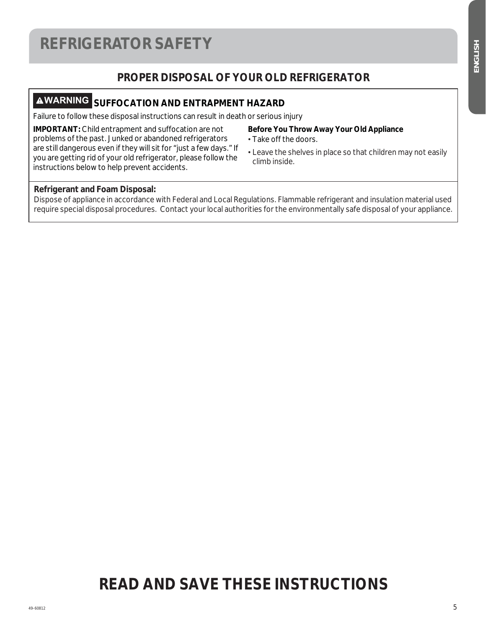### **REFRIGERATOR SAFETY**

#### **PROPER DISPOSAL OF YOUR OLD REFRIGERATOR**

### **WARNING SUFFOCATION AND ENTRAPMENT HAZARD**

Failure to follow these disposal instructions can result in death or serious injury

**IMPORTANT:** Child entrapment and suffocation are not problems of the past. Junked or abandoned refrigerators are still dangerous even if they will sit for "just a few days." If you are getting rid of your old refrigerator, please follow the instructions below to help prevent accidents.

#### **Before You Throw Away Your Old Appliance**

- ¿ Take off the doors.
- ¿ Leave the shelves in place so that children may not easily climb inside.

#### **Refrigerant and Foam Disposal:**

Dispose of appliance in accordance with Federal and Local Regulations. Flammable refrigerant and insulation material used require special disposal procedures. Contact your local authorities for the environmentally safe disposal of your appliance.

### **READ AND SAVE THESE INSTRUCTIONS**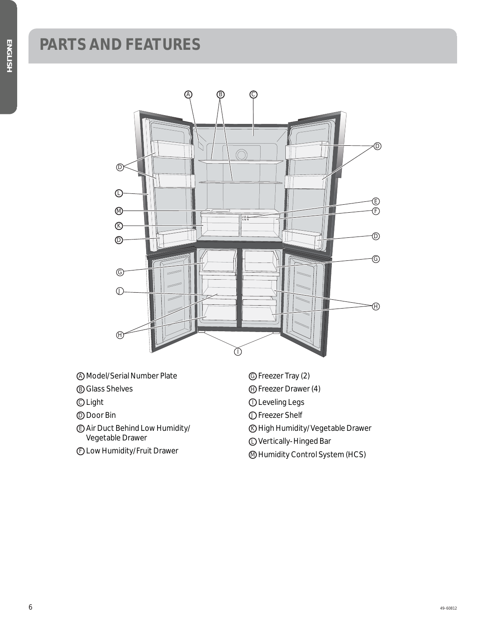### **PARTS AND FEATURES**



- A Model/Serial Number Plate
- B Glass Shelves
- C Light
- D Door Bin
- E Air Duct Behind Low Humidity/ Vegetable Drawer
- F Low Humidity/Fruit Drawer
- G Freezer Tray (2)
- H Freezer Drawer (4)
- **O** Leveling Legs
- J Freezer Shelf
- K High Humidity/Vegetable Drawer
- L Vertically-Hinged Bar
- M Humidity Control System (HCS)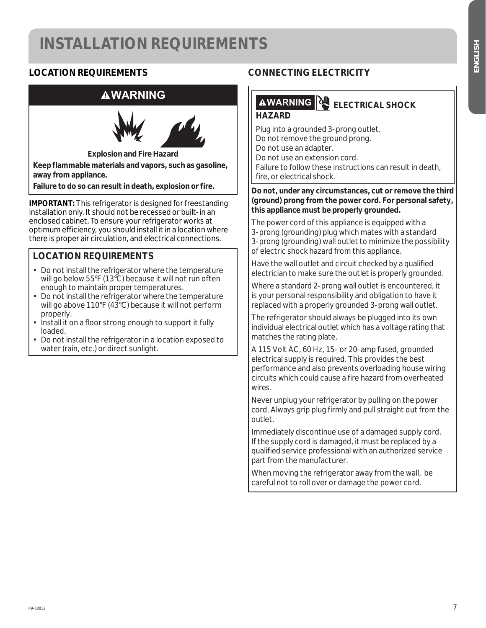### **INSTALLATION REQUIREMENTS**

#### **LOCATION REQUIREMENTS**

#### **WARNING**



**Explosion and Fire Hazard**

**Keep flammable materials and vapors, such as gasoline, away from appliance.** 

**Failure to do so can result in death, explosion or fire.** 

**IMPORTANT:** This refrigerator is designed for freestanding installation only. It should not be recessed or built-in an enclosed cabinet. To ensure your refrigerator works at optimum efficiency, you should install it in a location where there is proper air circulation, and electrical connections.

#### **LOCATION REQUIREMENTS**

- Do not install the refrigerator where the temperature will go below 55°F (13°C) because it will not run often enough to maintain proper temperatures.
- Do not install the refrigerator where the temperature will go above 110°F (43°C) because it will not perform properly.
- Install it on a floor strong enough to support it fully loaded.
- Do not install the refrigerator in a location exposed to water (rain, etc.) or direct sunlight.

#### **CONNECTING ELECTRICITY**

### **AWARNING ELECTRICAL SHOCK**

#### **HAZARD**

Plug into a grounded 3-prong outlet. Do not remove the ground prong. Do not use an adapter. Do not use an extension cord. Failure to follow these instructions can result in death, fire, or electrical shock.

#### **Do not, under any circumstances, cut or remove the third (ground) prong from the power cord. For personal safety, this appliance must be properly grounded.**

The power cord of this appliance is equipped with a 3-prong (grounding) plug which mates with a standard 3-prong (grounding) wall outlet to minimize the possibility of electric shock hazard from this appliance.

Have the wall outlet and circuit checked by a qualified electrician to make sure the outlet is properly grounded.

Where a standard 2-prong wall outlet is encountered, it is your personal responsibility and obligation to have it replaced with a properly grounded 3-prong wall outlet.

The refrigerator should always be plugged into its own individual electrical outlet which has a voltage rating that matches the rating plate.

A 115 Volt AC, 60 Hz, 15- or 20-amp fused, grounded electrical supply is required. This provides the best performance and also prevents overloading house wiring circuits which could cause a fire hazard from overheated wires.

Never unplug your refrigerator by pulling on the power cord. Always grip plug firmly and pull straight out from the outlet.

Immediately discontinue use of a damaged supply cord. If the supply cord is damaged, it must be replaced by a qualified service professional with an authorized service part from the manufacturer.

When moving the refrigerator away from the wall, be careful not to roll over or damage the power cord.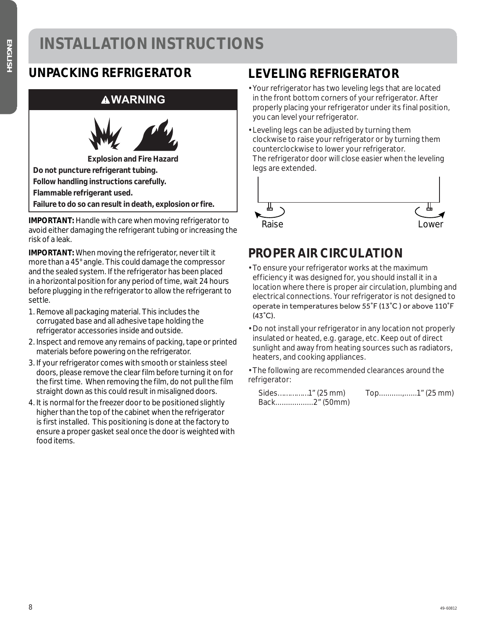### **INSTALLATION INSTRUCTIONS**

### **WARNING**



**IMPORTANT:** Handle with care when moving refrigerator to avoid either damaging the refrigerant tubing or increasing the risk of a leak.

**IMPORTANT:** When moving the refrigerator, never tilt it more than a 45° angle. This could damage the compressor and the sealed system. If the refrigerator has been placed in a horizontal position for any period of time, wait 24 hours before plugging in the refrigerator to allow the refrigerant to settle.

- 1. Remove all packaging material. This includes the corrugated base and all adhesive tape holding the refrigerator accessories inside and outside.
- 2. Inspect and remove any remains of packing, tape or printed materials before powering on the refrigerator.
- 3. If your refrigerator comes with smooth or stainless steel doors, please remove the clear film before turning it on for the first time. When removing the film, do not pull the film straight down as this could result in misaligned doors.
- 4. It is normal for the freezer door to be positioned slightly higher than the top of the cabinet when the refrigerator is first installed. This positioning is done at the factory to ensure a proper gasket seal once the door is weighted with food items.

### **LEVELING REFRIGERATOR**

- Your refrigerator has two leveling legs that are located in the front bottom corners of your refrigerator. After properly placing your refrigerator under its final position, you can level your refrigerator.
- Leveling legs can be adjusted by turning them clockwise to raise your refrigerator or by turning them counterclockwise to lower your refrigerator. The refrigerator door will close easier when the leveling legs are extended.



### **PROPER AIR CIRCULATION**

- To ensure your refrigerator works at the maximum efficiency it was designed for, you should install it in a location where there is proper air circulation, plumbing and electrical connections. Your refrigerator is not designed to operate in temperatures below 55°F (13°C) or above 110°F  $(43^{\circ}C).$
- Do not install your refrigerator in any location not properly insulated or heated, e.g. garage, etc. Keep out of direct sunlight and away from heating sources such as radiators, heaters, and cooking appliances.
- The following are recommended clearances around the refrigerator:

| Sides1" (25 mm) | Top1" (25 mm) |
|-----------------|---------------|
| Back2" (50mm)   |               |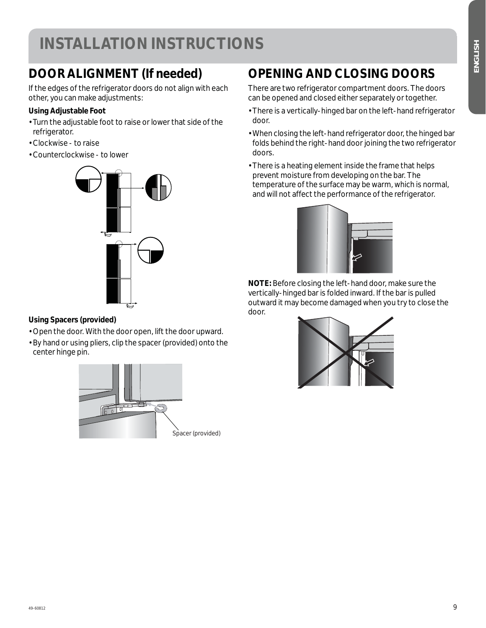### **INSTALLATION INSTRUCTIONS**

### **DOOR ALIGNMENT (If needed)**

If the edges of the refrigerator doors do not align with each other, you can make adjustments:

#### **Using Adjustable Foot**

- Turn the adjustable foot to raise or lower that side of the refrigerator.
- Clockwise to raise
- Counterclockwise to lower



#### **Using Spacers (provided)**

- Open the door. With the door open, lift the door upward.
- By hand or using pliers, clip the spacer (provided) onto the center hinge pin.



### **OPENING AND CLOSING DOORS**

There are two refrigerator compartment doors. The doors can be opened and closed either separately or together.

- There is a vertically-hinged bar on the left-hand refrigerator door.
- When closing the left-hand refrigerator door, the hinged bar folds behind the right-hand door joining the two refrigerator doors.
- There is a heating element inside the frame that helps prevent moisture from developing on the bar. The temperature of the surface may be warm, which is normal, and will not affect the performance of the refrigerator.



**NOTE:** Before closing the left-hand door, make sure the vertically-hinged bar is folded inward. If the bar is pulled outward it may become damaged when you try to close the door.

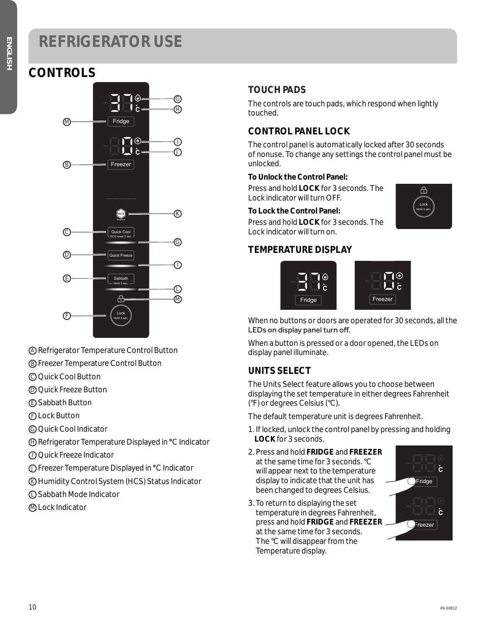### **CONTROLS**



A Refrigerator Temperature Control Button

- B Freezer Temperature Control Button
- C Quick Cool Button
- D Quick Freeze Button
- E Sabbath Button
- F Lock Button
- G Quick Cool Indicator
- H Refrigerator Temperature Displayed in **°**C Indicator
- I Quick Freeze Indicator
- J Freezer Temperature Displayed in **°**C Indicator
- K Humidity Control System (HCS) Status Indicator
- L Sabbath Mode Indicator
- M Lock Indicator

#### **TOUCH PADS**

The controls are touch pads, which respond when lightly touched.

#### **CONTROL PANEL LOCK**

The control panel is automatically locked after 30 seconds of nonuse. To change any settings the control panel must be unlocked.

#### **To Unlock the Control Panel:**

Press and hold **LOCK** for 3 seconds. The Lock indicator will turn OFF.

#### **To Lock the Control Panel:**

Press and hold **LOCK** for 3 seconds. The Lock indicator will turn on.

#### **TEMPERATURE DISPLAY**





 $\Box$   $\delta$ 

। ⊺।⊛

When no buttons or doors are operated for 30 seconds, all the LEDs on display panel turn off.

When a button is pressed or a door opened, the LEDs on display panel illuminate.

#### **UNITS SELECT**

The Units Select feature allows you to choose between displaying the set temperature in either degrees Fahrenheit (°F) or degrees Celsius (°C).

The default temperature unit is degrees Fahrenheit.

- 1. If locked, unlock the control panel by pressing and holding **LOCK** for 3 seconds.
- 2. Press and hold **FRIDGE** and **FREEZER** at the same time for 3 seconds. °C will appear next to the temperature display to indicate that the unit has been changed to degrees Celsius.
- 3. To return to displaying the set temperature in degrees Fahrenheit, press and hold **FRIDGE** and **FREEZER** at the same time for 3 seconds. The °C will disappear from the Temperature display.

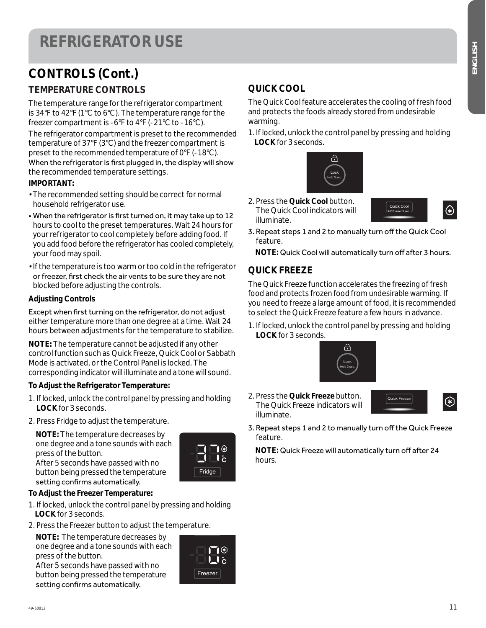### **CONTROLS (Cont.)**

#### **TEMPERATURE CONTROLS**

The temperature range for the refrigerator compartment is 34°F to 42°F (1°C to 6°C). The temperature range for the freezer compartment is -6°F to 4°F (-21°C to -16°C).

The refrigerator compartment is preset to the recommended temperature of 37°F (3°C) and the freezer compartment is preset to the recommended temperature of 0°F (-18°C). When the refrigerator is first plugged in, the display will show the recommended temperature settings.

#### **IMPORTANT:**

- The recommended setting should be correct for normal household refrigerator use.
- When the refrigerator is first turned on, it may take up to 12 hours to cool to the preset temperatures. Wait 24 hours for your refrigerator to cool completely before adding food. If you add food before the refrigerator has cooled completely, your food may spoil.
- If the temperature is too warm or too cold in the refrigerator or freezer, first check the air vents to be sure they are not blocked before adjusting the controls.

#### **Adjusting Controls**

Except when first turning on the refrigerator, do not adjust either temperature more than one degree at a time. Wait 24 hours between adjustments for the temperature to stabilize.

**NOTE:** The temperature cannot be adjusted if any other control function such as Quick Freeze, Quick Cool or Sabbath Mode is activated, or the Control Panel is locked. The corresponding indicator will illuminate and a tone will sound.

#### **To Adjust the Refrigerator Temperature:**

- 1. If locked, unlock the control panel by pressing and holding **LOCK** for 3 seconds.
- 2. Press Fridge to adjust the temperature.

 **NOTE:** The temperature decreases by one degree and a tone sounds with each press of the button.

After 5 seconds have passed with no button being pressed the temperature setting confirms automatically.

#### **To Adjust the Freezer Temperature:**

- 1. If locked, unlock the control panel by pressing and holding **LOCK** for 3 seconds.
- 2. Press the Freezer button to adjust the temperature.

 **NOTE:** The temperature decreases by one degree and a tone sounds with each press of the button.

After 5 seconds have passed with no button being pressed the temperature setting confirms automatically.



Fridge

**C**

#### **QUICK COOL**

The Quick Cool feature accelerates the cooling of fresh food and protects the foods already stored from undesirable warming.

1. If locked, unlock the control panel by pressing and holding **LOCK** for 3 seconds.



2. Press the **Quick Cool** button. The Quick Cool indicators will illuminate.



3. Repeat steps 1 and 2 to manually turn off the Quick Cool feature.

NOTE: Quick Cool will automatically turn off after 3 hours.

#### **QUICK FREEZE**

The Quick Freeze function accelerates the freezing of fresh food and protects frozen food from undesirable warming. If you need to freeze a large amount of food, it is recommended to select the Quick Freeze feature a few hours in advance.

1. If locked, unlock the control panel by pressing and holding **LOCK** for 3 seconds.



2. Press the **Quick Freeze** button. The Quick Freeze indicators will illuminate.





3. Repeat steps 1 and 2 to manually turn off the Quick Freeze feature.

**NOTE:** Quick Freeze will automatically turn off after 24 hours.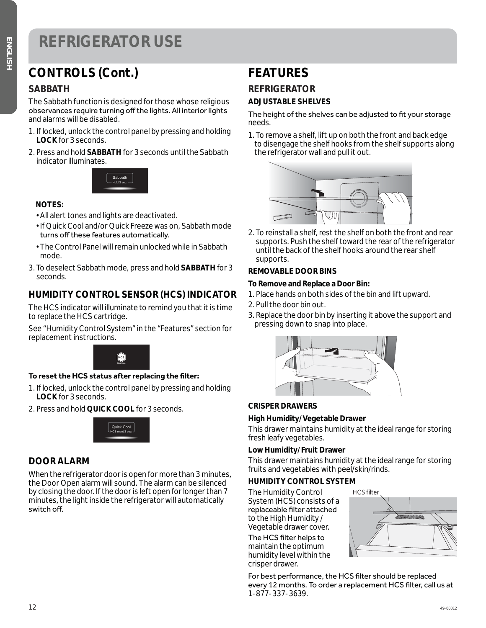### **CONTROLS (Cont.)**

#### **SABBATH**

The Sabbath function is designed for those whose religious observances require turning off the lights. All interior lights and alarms will be disabled.

- 1. If locked, unlock the control panel by pressing and holding **LOCK** for 3 seconds.
- 2. Press and hold **SABBATH** for 3 seconds until the Sabbath indicator illuminates.



#### **NOTES:**

- All alert tones and lights are deactivated.
- If Quick Cool and/or Quick Freeze was on, Sabbath mode turns off these features automatically.
- The Control Panel will remain unlocked while in Sabbath mode.
- 3. To deselect Sabbath mode, press and hold **SABBATH** for 3 seconds.

#### **HUMIDITY CONTROL SENSOR (HCS) INDICATOR**

The HCS indicator will illuminate to remind you that it is time to replace the HCS cartridge.

See "Humidity Control System" in the "Features" section for replacement instructions.



#### To reset the HCS status after replacing the filter:

- 1. If locked, unlock the control panel by pressing and holding **LOCK** for 3 seconds.
- 2. Press and hold **QUICK COOL** for 3 seconds.



#### **DOOR ALARM**

When the refrigerator door is open for more than 3 minutes, the Door Open alarm will sound. The alarm can be silenced by closing the door. If the door is left open for longer than 7 minutes, the light inside the refrigerator will automatically switch off.

### **FEATURES**

### **REFRIGERATOR**

#### **ADJUSTABLE SHELVES**

The height of the shelves can be adjusted to fit your storage needs.

1. To remove a shelf, lift up on both the front and back edge to disengage the shelf hooks from the shelf supports along the refrigerator wall and pull it out.



2. To reinstall a shelf, rest the shelf on both the front and rear supports. Push the shelf toward the rear of the refrigerator until the back of the shelf hooks around the rear shelf supports.

#### **REMOVABLE DOOR BINS**

#### **To Remove and Replace a Door Bin:**

- 1. Place hands on both sides of the bin and lift upward.
- 2. Pull the door bin out.
- 3. Replace the door bin by inserting it above the support and pressing down to snap into place.



#### **CRISPER DRAWERS**

#### **High Humidity/Vegetable Drawer**

This drawer maintains humidity at the ideal range for storing fresh leafy vegetables.

#### **Low Humidity/Fruit Drawer**

This drawer maintains humidity at the ideal range for storing fruits and vegetables with peel/skin/rinds.

#### **HUMIDITY CONTROL SYSTEM**

The Humidity Control System (HCS) consists of a replaceable filter attached to the High Humidity / Vegetable drawer cover.

The HCS filter helps to maintain the optimum humidity level within the crisper drawer.

HCS filter

For best performance, the HCS filter should be replaced every 12 months. To order a replacement HCS filter, call us at 1-877-337-3639.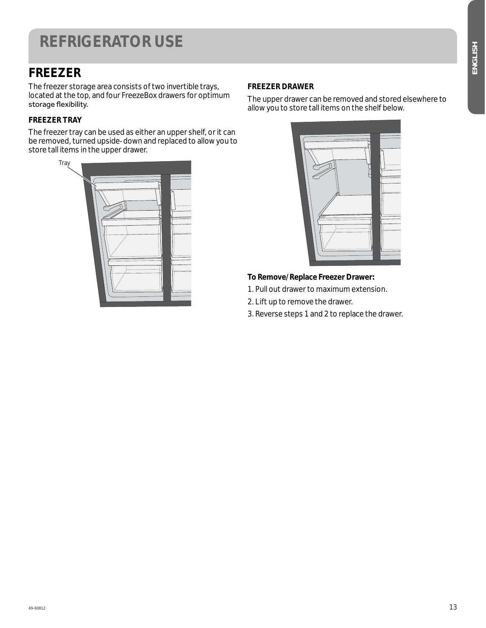### **FREEZER**

The freezer storage area consists of two invertible trays, located at the top, and four FreezeBox drawers for optimum storage flexibility.

#### **FREEZER TRAY**

The freezer tray can be used as either an upper shelf, or it can be removed, turned upside-down and replaced to allow you to store tall items in the upper drawer.

| Tray |  |
|------|--|
|      |  |

#### **FREEZER DRAWER**

The upper drawer can be removed and stored elsewhere to allow you to store tall items on the shelf below.



#### **To Remove/Replace Freezer Drawer:**

- 1. Pull out drawer to maximum extension.
- 2. Lift up to remove the drawer.
- 3. Reverse steps 1 and 2 to replace the drawer.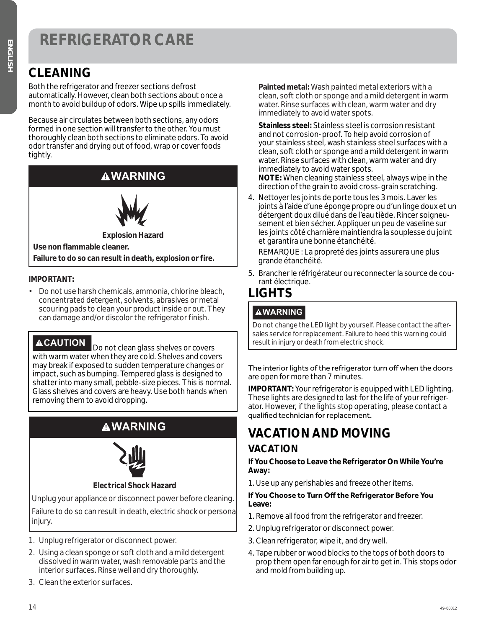### **REFRIGERATOR CARE**

### **CLEANING**

Both the refrigerator and freezer sections defrost automatically. However, clean both sections about once a month to avoid buildup of odors. Wipe up spills immediately.

Because air circulates between both sections, any odors formed in one section will transfer to the other. You must thoroughly clean both sections to eliminate odors. To avoid odor transfer and drying out of food, wrap or cover foods tightly.

### **WARNING**



**Explosion Hazard**

**Use non flammable cleaner. Failure to do so can result in death, explosion or fire.**

#### **IMPORTANT:**

• Do not use harsh chemicals, ammonia, chlorine bleach, concentrated detergent, solvents, abrasives or metal scouring pads to clean your product inside or out. They can damage and/or discolor the refrigerator finish.

**ACAUTION** Do not clean glass shelves or covers with warm water when they are cold. Shelves and covers may break if exposed to sudden temperature changes or impact, such as bumping. Tempered glass is designed to shatter into many small, pebble-size pieces. This is normal. Glass shelves and covers are heavy. Use both hands when removing them to avoid dropping.

### **WARNING**



#### **Electrical Shock Hazard**

Unplug your appliance or disconnect power before cleaning.

Failure to do so can result in death, electric shock or personal injury.

- 1. Unplug refrigerator or disconnect power.
- 2. Using a clean sponge or soft cloth and a mild detergent dissolved in warm water, wash removable parts and the interior surfaces. Rinse well and dry thoroughly.
- 3. Clean the exterior surfaces.

 **Painted metal:** Wash painted metal exteriors with a clean, soft cloth or sponge and a mild detergent in warm water. Rinse surfaces with clean, warm water and dry immediately to avoid water spots.

 **Stainless steel:** Stainless steel is corrosion resistant and not corrosion-proof. To help avoid corrosion of your stainless steel, wash stainless steel surfaces with a clean, soft cloth or sponge and a mild detergent in warm water. Rinse surfaces with clean, warm water and dry immediately to avoid water spots.

 **NOTE:** When cleaning stainless steel, always wipe in the direction of the grain to avoid cross-grain scratching.

4. Nettoyer les joints de porte tous les 3 mois. Laver les joints à l'aide d'une éponge propre ou d'un linge doux et un détergent doux dilué dans de l'eau tiède. Rincer soigneusement et bien sécher. Appliquer un peu de vaseline sur les joints côté charnière maintiendra la souplesse du joint et garantira une bonne étanchéité.

 REMARQUE : La propreté des joints assurera une plus grande étanchéité.

5. Brancher le réfrigérateur ou reconnecter la source de courant électrique.

### **LIGHTS**

#### **WARNING**

Do not change the LED light by yourself. Please contact the aftersales service for replacement. Failure to heed this warning could result in injury or death from electric shock.

The interior lights of the refrigerator turn off when the doors are open for more than 7 minutes.

**IMPORTANT:** Your refrigerator is equipped with LED lighting. These lights are designed to last for the life of your refrigerator. However, if the lights stop operating, please contact a qualified technician for replacement.

### **VACATION AND MOVING**

#### **VACATION**

**If You Choose to Leave the Refrigerator On While You're Away:**

1. Use up any perishables and freeze other items.

#### **If You Choose to Turn Off the Refrigerator Before You Leave:**

- 1. Remove all food from the refrigerator and freezer.
- 2. Unplug refrigerator or disconnect power.
- 3. Clean refrigerator, wipe it, and dry well.
- 4. Tape rubber or wood blocks to the tops of both doors to prop them open far enough for air to get in. This stops odor and mold from building up.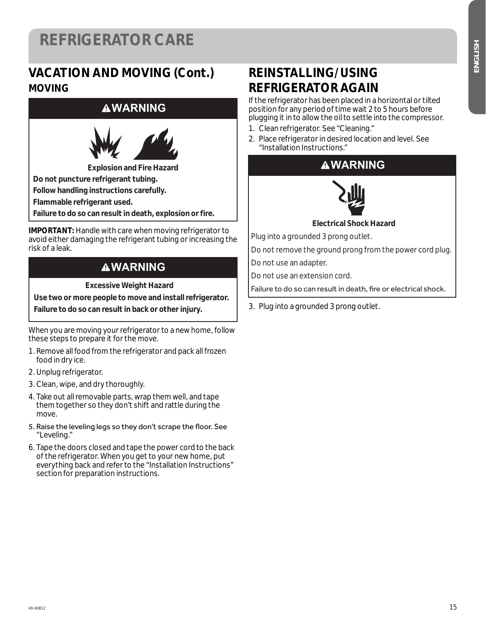### **VACATION AND MOVING (Cont.) MOVING**

#### **WARNING**



**Explosion and Fire Hazard Do not puncture refrigerant tubing. Follow handling instructions carefully.** 

**Flammable refrigerant used.** 

**Failure to do so can result in death, explosion or fire.** 

**IMPORTANT:** Handle with care when moving refrigerator to avoid either damaging the refrigerant tubing or increasing the risk of a leak.

### **WARNING**

**Excessive Weight Hazard** 

**Use two or more people to move and install refrigerator.** 

**Failure to do so can result in back or other injury.** 

When you are moving your refrigerator to a new home, follow these steps to prepare it for the move.

- 1. Remove all food from the refrigerator and pack all frozen food in dry ice.
- 2. Unplug refrigerator.
- 3. Clean, wipe, and dry thoroughly.
- 4. Take out all removable parts, wrap them well, and tape them together so they don't shift and rattle during the move.
- 5. Raise the leveling legs so they don't scrape the floor. See "Leveling."
- 6. Tape the doors closed and tape the power cord to the back of the refrigerator. When you get to your new home, put everything back and refer to the "Installation Instructions" section for preparation instructions.

### **REINSTALLING/USING REFRIGERATOR AGAIN**

If the refrigerator has been placed in a horizontal or tilted position for any period of time wait 2 to 5 hours before plugging it in to allow the oil to settle into the compressor.

- 1. Clean refrigerator. See "Cleaning."
- 2. Place refrigerator in desired location and level. See "Installation Instructions."





**Electrical Shock Hazard**

Plug into a grounded 3 prong outlet.

Do not remove the ground prong from the power cord plug.

Do not use an adapter.

Do not use an extension cord.

Failure to do so can result in death, fire or electrical shock.

3. Plug into a grounded 3 prong outlet.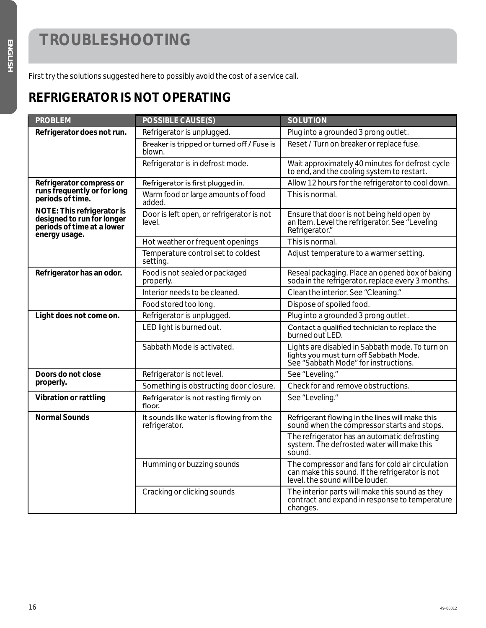First try the solutions suggested here to possibly avoid the cost of a service call.

### **REFRIGERATOR IS NOT OPERATING**

| <b>PROBLEM</b>                                                                                                 | <b>POSSIBLE CAUSE(S)</b>                                  | <b>SOLUTION</b>                                                                                                                         |
|----------------------------------------------------------------------------------------------------------------|-----------------------------------------------------------|-----------------------------------------------------------------------------------------------------------------------------------------|
| Refrigerator does not run.                                                                                     | Refrigerator is unplugged.                                | Plug into a grounded 3 prong outlet.                                                                                                    |
|                                                                                                                | Breaker is tripped or turned off / Fuse is<br>blown.      | Reset / Turn on breaker or replace fuse.                                                                                                |
|                                                                                                                | Refrigerator is in defrost mode.                          | Wait approximately 40 minutes for defrost cycle<br>to end, and the cooling system to restart.                                           |
| Refrigerator compress or                                                                                       | Refrigerator is first plugged in.                         | Allow 12 hours for the refrigerator to cool down.                                                                                       |
| runs frequently or for long<br>periods of time.                                                                | Warm food or large amounts of food<br>added.              | This is normal.                                                                                                                         |
| <b>NOTE: This refrigerator is</b><br>designed to run for longer<br>periods of time at a lower<br>energy usage. | Door is left open, or refrigerator is not<br>level.       | Ensure that door is not being held open by<br>an Item. Level the refrigerator. See "Leveling<br>Refrigerator."                          |
|                                                                                                                | Hot weather or frequent openings                          | This is normal.                                                                                                                         |
|                                                                                                                | Temperature control set to coldest<br>setting.            | Adjust temperature to a warmer setting.                                                                                                 |
| Refrigerator has an odor.                                                                                      | Food is not sealed or packaged<br>properly.               | Reseal packaging. Place an opened box of baking<br>soda in the refrigerator, replace every 3 months.                                    |
|                                                                                                                | Interior needs to be cleaned.                             | Clean the interior. See "Cleaning."                                                                                                     |
|                                                                                                                | Food stored too long.                                     | Dispose of spoiled food.                                                                                                                |
| Light does not come on.                                                                                        | Refrigerator is unplugged.                                | Plug into a grounded 3 prong outlet.                                                                                                    |
|                                                                                                                | LED light is burned out.                                  | Contact a qualified technician to replace the<br>burned out LED.                                                                        |
|                                                                                                                | Sabbath Mode is activated.                                | Lights are disabled in Sabbath mode. To turn on<br>lights you must turn off Sabbath Mode.<br>See "Sabbath Mode" for instructions.       |
| Doors do not close                                                                                             | Refrigerator is not level.                                | See "Leveling."                                                                                                                         |
| properly.                                                                                                      | Something is obstructing door closure.                    | Check for and remove obstructions.                                                                                                      |
| Vibration or rattling                                                                                          | Refrigerator is not resting firmly on<br>floor.           | See "Leveling."                                                                                                                         |
| <b>Normal Sounds</b>                                                                                           | It sounds like water is flowing from the<br>refrigerator. | Refrigerant flowing in the lines will make this<br>sound when the compressor starts and stops.                                          |
|                                                                                                                |                                                           | The refrigerator has an automatic defrosting<br>system. The defrosted water will make this<br>sound.                                    |
|                                                                                                                | Humming or buzzing sounds                                 | The compressor and fans for cold air circulation<br>can make this sound. If the refrigerator is not<br>level, the sound will be louder. |
|                                                                                                                | Cracking or clicking sounds                               | The interior parts will make this sound as they<br>contract and expand in response to temperature<br>changes.                           |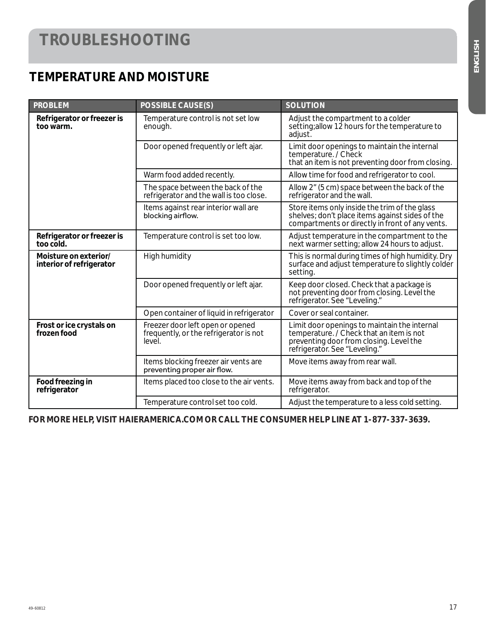### **TEMPERATURE AND MOISTURE**

| <b>PROBLEM</b>                                    | <b>POSSIBLE CAUSE(S)</b>                                                             | <b>SOLUTION</b>                                                                                                                                                      |
|---------------------------------------------------|--------------------------------------------------------------------------------------|----------------------------------------------------------------------------------------------------------------------------------------------------------------------|
| Refrigerator or freezer is<br>too warm.           | Temperature control is not set low<br>enough.                                        | Adjust the compartment to a colder<br>setting; allow 12 hours for the temperature to<br>adjust.                                                                      |
|                                                   | Door opened frequently or left ajar.                                                 | Limit door openings to maintain the internal<br>temperature. / Check<br>that an item is not preventing door from closing.                                            |
|                                                   | Warm food added recently.                                                            | Allow time for food and refrigerator to cool.                                                                                                                        |
|                                                   | The space between the back of the<br>refrigerator and the wall is too close.         | Allow 2" (5 cm) space between the back of the<br>refrigerator and the wall.                                                                                          |
|                                                   | Items against rear interior wall are<br>blocking airflow.                            | Store items only inside the trim of the glass<br>shelves; don't place items against sides of the<br>compartments or directly in front of any vents.                  |
| Refrigerator or freezer is<br>too cold.           | Temperature control is set too low.                                                  | Adjust temperature in the compartment to the<br>next warmer setting; allow 24 hours to adjust.                                                                       |
| Moisture on exterior/<br>interior of refrigerator | High humidity                                                                        | This is normal during times of high humidity. Dry<br>surface and adjust temperature to slightly colder<br>setting.                                                   |
|                                                   | Door opened frequently or left ajar.                                                 | Keep door closed. Check that a package is<br>not preventing door from closing. Level the<br>refrigerator. See "Leveling."                                            |
|                                                   | Open container of liquid in refrigerator                                             | Cover or seal container.                                                                                                                                             |
| Frost or ice crystals on<br>frozen food           | Freezer door left open or opened<br>frequently, or the refrigerator is not<br>level. | Limit door openings to maintain the internal<br>temperature. / Check that an item is not<br>preventing door from closing. Level the<br>refrigerator. See "Leveling." |
|                                                   | Items blocking freezer air vents are<br>preventing proper air flow.                  | Move items away from rear wall.                                                                                                                                      |
| Food freezing in<br>refrigerator                  | Items placed too close to the air vents.                                             | Move items away from back and top of the<br>refrigerator.                                                                                                            |
|                                                   | Temperature control set too cold.                                                    | Adjust the temperature to a less cold setting.                                                                                                                       |

**FOR MORE HELP, VISIT HAIERAMERICA.COM OR CALL THE CONSUMER HELP LINE AT 1-877-337-3639.**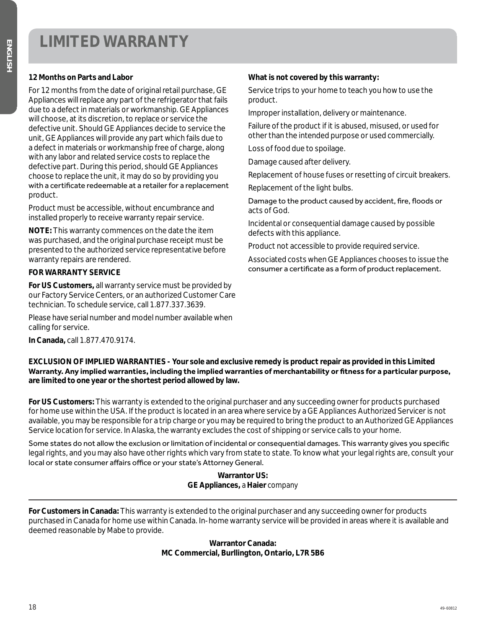#### **12 Months on Parts and Labor**

For 12 months from the date of original retail purchase, GE Appliances will replace any part of the refrigerator that fails due to a defect in materials or workmanship. GE Appliances will choose, at its discretion, to replace or service the defective unit. Should GE Appliances decide to service the unit, GE Appliances will provide any part which fails due to a defect in materials or workmanship free of charge, along with any labor and related service costs to replace the defective part. During this period, should GE Appliances choose to replace the unit, it may do so by providing you with a certificate redeemable at a retailer for a replacement product.

Product must be accessible, without encumbrance and installed properly to receive warranty repair service.

**NOTE:** This warranty commences on the date the item was purchased, and the original purchase receipt must be presented to the authorized service representative before warranty repairs are rendered.

#### **FOR WARRANTY SERVICE**

**For US Customers,** all warranty service must be provided by our Factory Service Centers, or an authorized Customer Care technician. To schedule service, call 1.877.337.3639.

Please have serial number and model number available when calling for service.

**In Canada,** call 1.877.470.9174.

#### **What is not covered by this warranty:**

Service trips to your home to teach you how to use the product.

Improper installation, delivery or maintenance.

Failure of the product if it is abused, misused, or used for other than the intended purpose or used commercially.

Loss of food due to spoilage.

Damage caused after delivery.

Replacement of house fuses or resetting of circuit breakers.

Replacement of the light bulbs.

Damage to the product caused by accident, fire, floods or acts of God.

Incidental or consequential damage caused by possible defects with this appliance.

Product not accessible to provide required service.

Associated costs when GE Appliances chooses to issue the consumer a certificate as a form of product replacement.

**EXCLUSION OF IMPLIED WARRANTIES - Your sole and exclusive remedy is product repair as provided in this Limited**  Warranty. Any implied warranties, including the implied warranties of merchantability or fitness for a particular purpose, **are limited to one year or the shortest period allowed by law.**

**For US Customers:** This warranty is extended to the original purchaser and any succeeding owner for products purchased for home use within the USA. If the product is located in an area where service by a GE Appliances Authorized Servicer is not available, you may be responsible for a trip charge or you may be required to bring the product to an Authorized GE Appliances Service location for service. In Alaska, the warranty excludes the cost of shipping or service calls to your home.

Some states do not allow the exclusion or limitation of incidental or consequential damages. This warranty gives you specific legal rights, and you may also have other rights which vary from state to state. To know what your legal rights are, consult your local or state consumer affairs office or your state's Attorney General.

> **Warrantor US: GE Appliances,** *a* **Haier** *company*

**For Customers in Canada:** This warranty is extended to the original purchaser and any succeeding owner for products purchased in Canada for home use within Canada. In-home warranty service will be provided in areas where it is available and deemed reasonable by Mabe to provide.

> **Warrantor Canada: MC Commercial, Burllington, Ontario, L7R 5B6**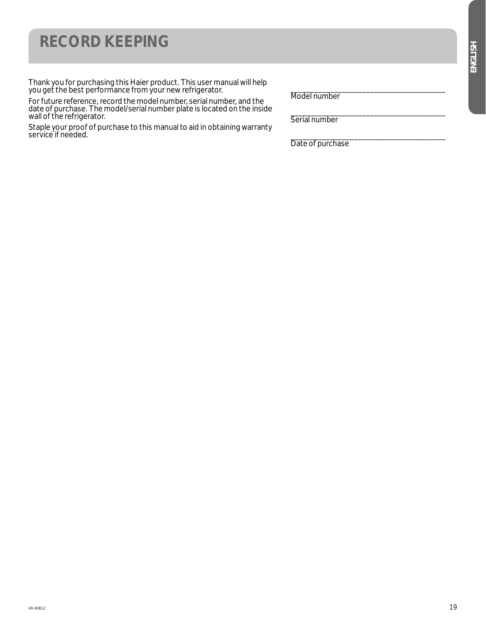### ENGLISH *ENGLISH*

### **RECORD KEEPING**

Thank you for purchasing this Haier product. This user manual will help you get the best performance from your new refrigerator.

For future reference, record the model number, serial number, and the date of purchase. The model/serial number plate is located on the inside wall of the refrigerator.

Staple your proof of purchase to this manual to aid in obtaining warranty service if needed.

\_\_\_\_\_\_\_\_\_\_\_\_\_\_\_\_\_\_\_\_\_\_\_\_\_\_\_\_\_\_\_\_\_\_\_\_\_\_\_ Model number

\_\_\_\_\_\_\_\_\_\_\_\_\_\_\_\_\_\_\_\_\_\_\_\_\_\_\_\_\_\_\_\_\_\_\_\_\_\_\_ Serial number

\_\_\_\_\_\_\_\_\_\_\_\_\_\_\_\_\_\_\_\_\_\_\_\_\_\_\_\_\_\_\_\_\_\_\_\_\_\_\_ Date of purchase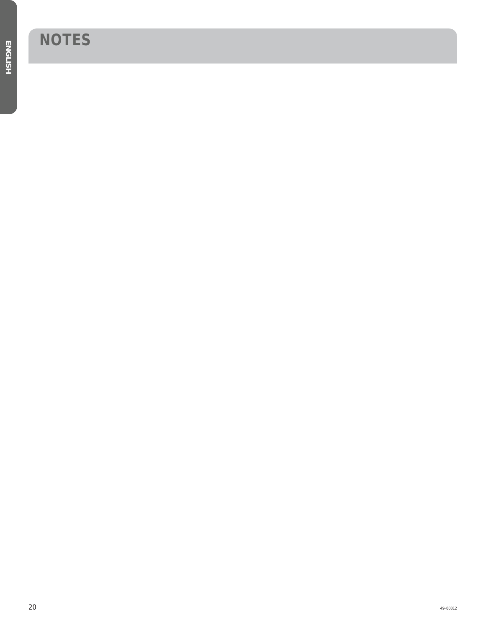## **NOTES**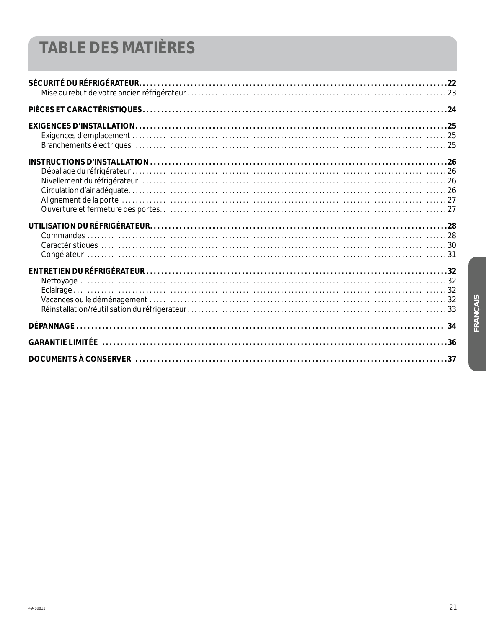## **TABLE DES MATIÈRES**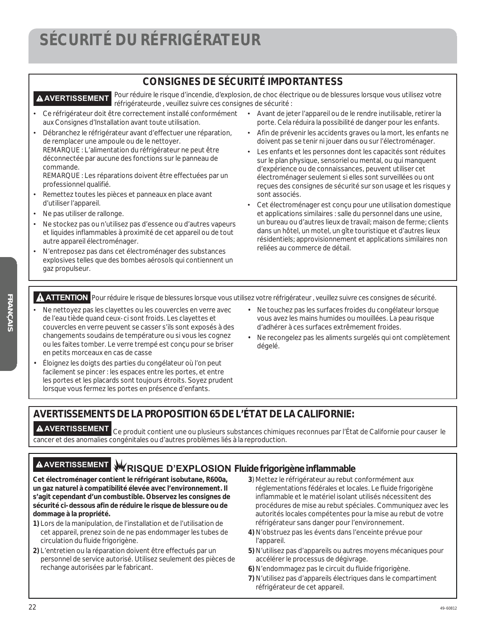### **SÉCURITÉ DU RÉFRIGÉRATEUR**

#### **CONSIGNES DE SÉCURITÉ IMPORTANTESS**

**A AVERTISSEMENT** Pour réduire le risque d'incendie, d'explosion, de choc électrique ou de blessures lorsque vous utilisez votre réfrigérateurde , veuillez suivre ces consignes de sécurité :

- Ce réfrigérateur doit être correctement installé conformément aux Consignes d'Installation avant toute utilisation.
- Débranchez le réfrigérateur avant d'effectuer une réparation, de remplacer une ampoule ou de le nettoyer. REMARQUE : L'alimentation du réfrigérateur ne peut être déconnectée par aucune des fonctions sur le panneau de commande.

REMARQUE : Les réparations doivent être effectuées par un professionnel qualifié.

- Remettez toutes les pièces et panneaux en place avant d'utiliser l'appareil.
- Ne pas utiliser de rallonge.
- Ne stockez pas ou n'utilisez pas d'essence ou d'autres vapeurs et liquides inflammables à proximité de cet appareil ou de tout autre appareil électroménager.
- N'entreposez pas dans cet électroménager des substances explosives telles que des bombes aérosols qui contiennent un gaz propulseur.
- ¿ Avant de jeter l'appareil ou de le rendre inutilisable, retirer la porte. Cela réduira la possibilité de danger pour les enfants.
- ¿ Afin de prévenir les accidents graves ou la mort, les enfants ne doivent pas se tenir ni jouer dans ou sur l'électroménager.
- ¿ Les enfants et les personnes dont les capacités sont réduites sur le plan physique, sensoriel ou mental, ou qui manquent d'expérience ou de connaissances, peuvent utiliser cet électroménager seulement si elles sont surveillées ou ont reçues des consignes de sécurité sur son usage et les risques y sont associés.
- ¿ Cet électroménager est conçu pour une utilisation domestique et applications similaires : salle du personnel dans une usine, un bureau ou d'autres lieux de travail; maison de ferme; clients dans un hôtel, un motel, un gîte touristique et d'autres lieux résidentiels; approvisionnement et applications similaires non reliées au commerce de détail.

**ATTENTION** Pour réduire le risque de blessures lorsque vous utilisez votre réfrigérateur , veuillez suivre ces consignes de sécurité.

- Ne nettoyez pas les clayettes ou les couvercles en verre avec de l'eau tiède quand ceux-ci sont froids. Les clayettes et couvercles en verre peuvent se casser s'ils sont exposés à des changements soudains de température ou si vous les cognez ou les faites tomber. Le verre trempé est conçu pour se briser en petits morceaux en cas de casse
- Éloignez les doigts des parties du congélateur où l'on peut facilement se pincer : les espaces entre les portes, et entre les portes et les placards sont toujours étroits. Soyez prudent lorsque vous fermez les portes en présence d'enfants.
- Ne touchez pas les surfaces froides du congélateur lorsque vous avez les mains humides ou mouillées. La peau risque d'adhérer à ces surfaces extrêmement froides.
- Ne recongelez pas les aliments surgelés qui ont complètement dégelé.

#### **AVERTISSEMENTS DE LA PROPOSITION 65 DE L'ÉTAT DE LA CALIFORNIE:**

**AVERTISSEMENT** Ce produit contient une ou plusieurs substances chimiques reconnues par l'État de Californie pour causer le cancer et des anomalies congénitales ou d'autres problèmes liés à la reproduction.

### **AVERTISSEMENT RISQUE D'EXPLOSION Fluide frigorigène inflammable**

**Cet électroménager contient le réfrigérant isobutane, R600a, un gaz naturel à compatibilité élevée avec l'environnement. Il s'agit cependant d'un combustible. Observez les consignes de sécurité ci-dessous afin de réduire le risque de blessure ou de dommage à la propriété.**

- **1)** Lors de la manipulation, de l'installation et de l'utilisation de cet appareil, prenez soin de ne pas endommager les tubes de circulation du fluide frigorigène.
- **2)** L'entretien ou la réparation doivent être effectués par un personnel de service autorisé. Utilisez seulement des pièces de rechange autorisées par le fabricant.
- **3**) Mettez le réfrigérateur au rebut conformément aux réglementations fédérales et locales. Le fluide frigorigène inflammable et le matériel isolant utilisés nécessitent des procédures de mise au rebut spéciales. Communiquez avec les autorités locales compétentes pour la mise au rebut de votre réfrigérateur sans danger pour l'environnement.
- **4)** N'obstruez pas les évents dans l'enceinte prévue pour l'appareil.
- **5)** N'utilisez pas d'appareils ou autres moyens mécaniques pour accélérer le processus de dégivrage.
- **6)** N'endommagez pas le circuit du fluide frigorigène.
- **7)** N'utilisez pas d'appareils électriques dans le compartiment réfrigérateur de cet appareil.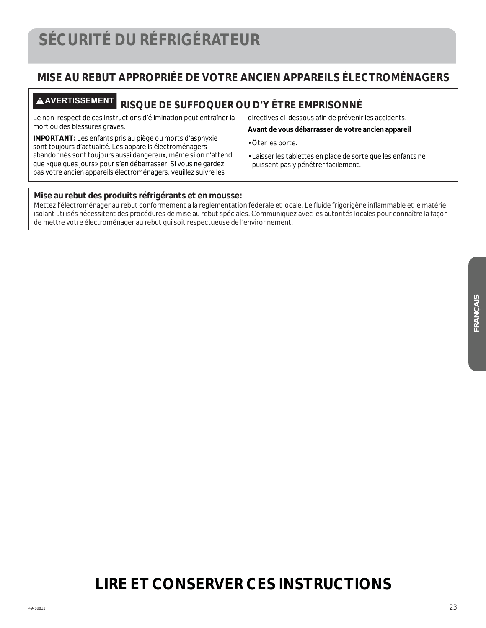### **MISE AU REBUT APPROPRIÉE DE VOTRE ANCIEN APPAREILS ÉLECTROMÉNAGERS**

### **AVERTISSEMENT RISQUE DE SUFFOQUER OU D'Y ÊTRE EMPRISONNÉ**

Le non-respect de ces instructions d'élimination peut entraîner la mort ou des blessures graves.

**IMPORTANT:** Les enfants pris au piège ou morts d'asphyxie sont toujours d'actualité. Les appareils électroménagers abandonnés sont toujours aussi dangereux, même si on n'attend que «quelques jours» pour s'en débarrasser. Si vous ne gardez pas votre ancien appareils électroménagers, veuillez suivre les

directives ci-dessous afin de prévenir les accidents.

#### **Avant de vous débarrasser de votre ancien appareil**

- Ôter les porte.
- Laisser les tablettes en place de sorte que les enfants ne puissent pas y pénétrer facilement.

#### **Mise au rebut des produits réfrigérants et en mousse:**

Mettez l'électroménager au rebut conformément à la réglementation fédérale et locale. Le fluide frigorigène inflammable et le matériel isolant utilisés nécessitent des procédures de mise au rebut spéciales. Communiquez avec les autorités locales pour connaître la façon de mettre votre électroménager au rebut qui soit respectueuse de l'environnement.

### **LIRE ET CONSERVER CES INSTRUCTIONS**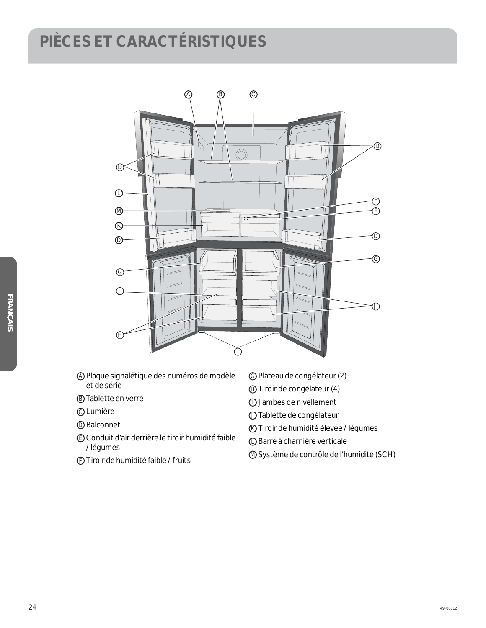### **PIÈCES ET CARACTÉRISTIQUES**



- A Plaque signalétique des numéros de modèle et de série
- B Tablette en verre
- C Lumière
- D Balconnet
- E Conduit d'air derrière le tiroir humidité faible / légumes
- F Tiroir de humidité faible / fruits
- G Plateau de congélateur (2)
- H Tiroir de congélateur (4)
- I Jambes de nivellement
- J Tablette de congélateur
- K Tiroir de humidité élevée / légumes
- L Barre à charnière verticale
- M Système de contrôle de l'humidité (SCH)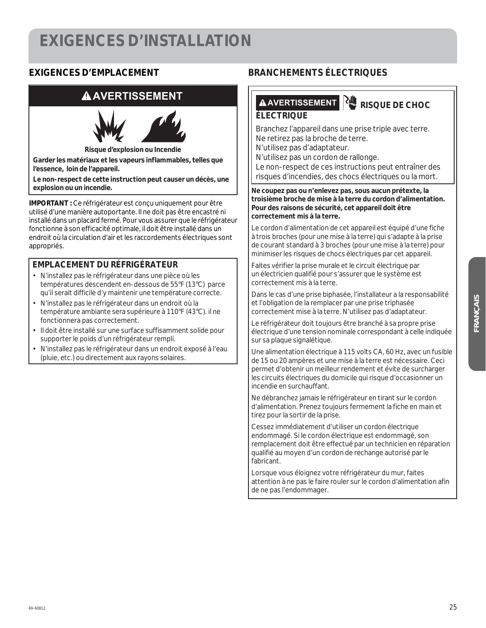### **EXIGENCES D'INSTALLATION**

#### **EXIGENCES D'EMPLACEMENT**

### **AAVERTISSEMENT**



**Risque d'explosion ou Incendie**

**Garder les matériaux et les vapeurs inflammables, telles que l'essence, loin de l'appareil.** 

**Le non-respect de cette instruction peut causer un décès, une** 

**IMPORTANT :** Ce réfrigérateur est concu uniquement pour être utilisé d'une manière autoportante. Il ne doit pas être encastré ni installé dans un placard fermé. Pour vous assurer que le réfrigérateur fonctionne à son efficacité optimale, il doit être installé dans un endroit où la circulation d'air et les raccordements électriques sont appropriés.

#### **EMPLACEMENT DU RÉFRIGÉRATEUR**

- N'installez pas le réfrigérateur dans une pièce où les températures descendent en-dessous de 55°F (13°C) parce qu'il serait difficile d'y maintenir une température correcte.
- N'installez pas le réfrigérateur dans un endroit où la température ambiante sera supérieure à 110°F (43°C). il ne fonctionnera pas correctement.
- Il doit être installé sur une surface suffisamment solide pour supporter le poids d'un réfrigérateur rempli.
- N'installez pas le réfrigérateur dans un endroit exposé à l'eau (pluie, etc.) ou directement aux rayons solaires.

#### **BRANCHEMENTS ÉLECTRIQUES**

#### **AVERTISSEMENT RISQUE DE CHOC ÉLECTRIQUE**

Branchez l'appareil dans une prise triple avec terre. Ne retirez pas la broche de terre.

N'utilisez pas d'adaptateur.

N'utilisez pas un cordon de rallonge.

Le non-respect de ces instructions peut entraîner des risques d'incendies, des chocs électriques ou la mort.

Ne coupez pas ou n'enlevez pas, sous aucun prétexte, la **troisième broche de mise à la terre du cordon d'alimentation. Pour des raisons de sécurité, cet appareil doit être correctement mis à la terre.**

Le cordon d'alimentation de cet appareil est équipé d'une fiche à trois broches (pour une mise à la terre) qui s'adapte à la prise de courant standard à 3 broches (pour une mise à la terre) pour minimiser les risques de chocs électriques par cet appareil.

Faites vérifier la prise murale et le circuit électrique par un électricien qualifié pour s'assurer que le système est correctement mis à la terre.

Dans le cas d'une prise biphasée, l'installateur a la responsabilité et l'obligation de la remplacer par une prise triphasée correctement mise à la terre. N'utilisez pas d'adaptateur.

Le réfrigérateur doit toujours être branché à sa propre prise électrique d'une tension nominale correspondant à celle indiquée sur sa plaque signalétique.

Une alimentation électrique à 115 volts CA, 60 Hz, avec un fusible de 15 ou 20 ampères et une mise à la terre est nécessaire. Ceci permet d'obtenir un meilleur rendement et évite de surcharger les circuits électriques du domicile qui risque d'occasionner un incendie en surchauffant.

Ne débranchez jamais le réfrigérateur en tirant sur le cordon d'alimentation. Prenez toujours fermement la fiche en main et tirez pour la sortir de la prise.

Cessez immédiatement d'utiliser un cordon électrique endommagé. Si le cordon électrique est endommagé, son remplacement doit être effectué par un technicien en réparation qualifié au moyen d'un cordon de rechange autorisé par le fabricant.

Lorsque vous éloignez votre réfrigérateur du mur, faites attention à ne pas le faire rouler sur le cordon d'alimentation afin de ne pas l'endommager.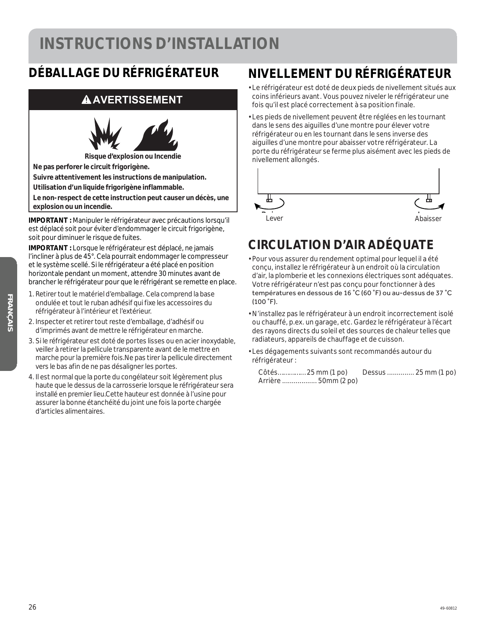### **INSTRUCTIONS D'INSTALLATION**

### **DÉBALLAGE DU RÉFRIGÉRATEUR**

### **AAVERTISSEMENT**



**Ne pas perforer le circuit frigorigène.** 

**Suivre attentivement les instructions de manipulation.** 

**Utilisation d'un liquide frigorigène inflammable.** 

**Le non-respect de cette instruction peut causer un décès, une explosion ou un incendie.** 

**IMPORTANT :** Manipuler le réfrigérateur avec précautions lorsqu'il est déplacé soit pour éviter d'endommager le circuit frigorigène, soit pour diminuer le risque de fuites.

**IMPORTANT :** Lorsque le réfrigérateur est déplacé, ne jamais l'incliner à plus de 45°. Cela pourrait endommager le compresseur et le système scellé. Si le réfrigérateur a été placé en position horizontale pendant un moment, attendre 30 minutes avant de brancher le réfrigérateur pour que le réfrigérant se remette en place.

- 1. Retirer tout le matériel d'emballage. Cela comprend la base ondulée et tout le ruban adhésif qui fixe les accessoires du réfrigérateur à l'intérieur et l'extérieur.
- 2. Inspecter et retirer tout reste d'emballage, d'adhésif ou d'imprimés avant de mettre le réfrigérateur en marche.
- 3. Si le réfrigérateur est doté de portes lisses ou en acier inoxydable, veiller à retirer la pellicule transparente avant de le mettre en marche pour la première fois.Ne pas tirer la pellicule directement vers le bas afin de ne pas désaligner les portes.
- 4. Il est normal que la porte du congélateur soit légèrement plus haute que le dessus de la carrosserie lorsque le réfrigérateur sera installé en premier lieu.Cette hauteur est donnée à l'usine pour assurer la bonne étanchéité du joint une fois la porte chargée d'articles alimentaires.

### **NIVELLEMENT DU RÉFRIGÉRATEUR**

- Le réfrigérateur est doté de deux pieds de nivellement situés aux coins inférieurs avant. Vous pouvez niveler le réfrigérateur une fois qu'il est placé correctement à sa position finale.
- Les pieds de nivellement peuvent être réglées en les tournant dans le sens des aiguilles d'une montre pour élever votre réfrigérateur ou en les tournant dans le sens inverse des aiguilles d'une montre pour abaisser votre réfrigérateur. La porte du réfrigérateur se ferme plus aisément avec les pieds de nivellement allongés.



### **CIRCULATION D'AIR ADÉQUATE**

- Pour vous assurer du rendement optimal pour lequel il a été conçu, installez le réfrigérateur à un endroit où la circulation d'air, la plomberie et les connexions électriques sont adéquates. Votre réfrigérateur n'est pas conçu pour fonctionner à des températures en dessous de 16 °C (60 °F) ou au-dessus de 37 °C  $(100 \degree F)$ .
- N'installez pas le réfrigérateur à un endroit incorrectement isolé ou chauffé, p.ex. un garage, etc. Gardez le réfrigérateur à l'écart des rayons directs du soleil et des sources de chaleur telles que radiateurs, appareils de chauffage et de cuisson.
- Les dégagements suivants sont recommandés autour du réfrigérateur :

| Côtés 25 mm (1 po) |                      | Dessus  25 mm (1 po) |  |
|--------------------|----------------------|----------------------|--|
|                    | Arrière  50mm (2 po) |                      |  |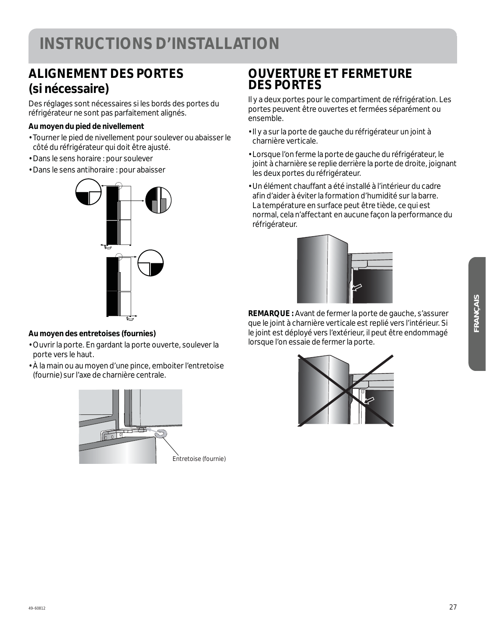### **ALIGNEMENT DES PORTES (si nécessaire)**

Des réglages sont nécessaires si les bords des portes du réfrigérateur ne sont pas parfaitement alignés.

#### **Au moyen du pied de nivellement**

- Tourner le pied de nivellement pour soulever ou abaisser le côté du réfrigérateur qui doit être ajusté.
- Dans le sens horaire : pour soulever
- Dans le sens antihoraire : pour abaisser



#### **Au moyen des entretoises (fournies)**

- Ouvrir la porte. En gardant la porte ouverte, soulever la porte vers le haut.
- À la main ou au moyen d'une pince, emboiter l'entretoise (fournie) sur l'axe de charnière centrale.



### **OUVERTURE ET FERMETURE DES PORTES**

Il y a deux portes pour le compartiment de réfrigération. Les portes peuvent être ouvertes et fermées séparément ou ensemble.

- Il y a sur la porte de gauche du réfrigérateur un joint à charnière verticale.
- Lorsque l'on ferme la porte de gauche du réfrigérateur, le joint à charnière se replie derrière la porte de droite, joignant les deux portes du réfrigérateur.
- Un élément chauffant a été installé à l'intérieur du cadre afin d'aider à éviter la formation d'humidité sur la barre. La température en surface peut être tiède, ce qui est normal, cela n'affectant en aucune façon la performance du réfrigérateur.



**REMARQUE :** Avant de fermer la porte de gauche, s'assurer que le joint à charnière verticale est replié vers l'intérieur. Si le joint est déployé vers l'extérieur, il peut être endommagé lorsque l'on essaie de fermer la porte.

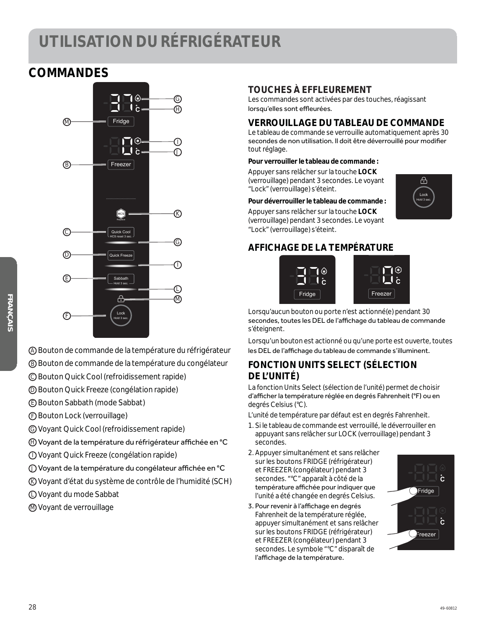### **UTILISATION DU RÉFRIGÉRATEUR**

### **COMMANDES**



A Bouton de commande de la température du réfrigérateur

- B Bouton de commande de la température du congélateur
- C Bouton Quick Cool (refroidissement rapide)
- D Bouton Quick Freeze (congélation rapide)
- E Bouton Sabbath (mode Sabbat)
- F Bouton Lock (verrouillage)
- G Voyant Quick Cool (refroidissement rapide)
- ⊕ Voyant de la température du réfrigérateur affichée en °C
- I Voyant Quick Freeze (congélation rapide)
- $\bigcirc$ ) Voyant de la température du congélateur affichée en °C
- K Voyant d'état du système de contrôle de l'humidité (SCH)
- L Voyant du mode Sabbat
- M Voyant de verrouillage

#### **TOUCHES À EFFLEUREMENT**

Les commandes sont activées par des touches, réagissant lorsqu'elles sont effleurées.

#### **VERROUILLAGE DU TABLEAU DE COMMANDE**

Le tableau de commande se verrouille automatiquement après 30 secondes de non utilisation. Il doit être déverrouillé pour modifier tout réglage.

#### **Pour verrouiller le tableau de commande :**

Appuyer sans relâcher sur la touche **LOCK** (verrouillage) pendant 3 secondes. Le voyant "Lock" (verrouillage) s'éteint.

#### **Pour déverrouiller le tableau de commande :** Appuyer sans relâcher sur la touche **LOCK**

(verrouillage) pendant 3 secondes. Le voyant "Lock" (verrouillage) s'éteint.

#### **AFFICHAGE DE LA TEMPÉRATURE**



Lorsqu'aucun bouton ou porte n'est actionné(e) pendant 30 secondes, toutes les DEL de l'affichage du tableau de commande s'éteignent.

Lorsqu'un bouton est actionné ou qu'une porte est ouverte, toutes les DEL de l'affichage du tableau de commande s'illuminent.

#### **FONCTION UNITS SELECT (SÉLECTION DE L'UNITÉ)**

La fonction Units Select (sélection de l'unité) permet de choisir d'afficher la température réglée en degrés Fahrenheit (°F) ou en degrés Celsius (°C).

L'unité de température par défaut est en degrés Fahrenheit.

- 1. Si le tableau de commande est verrouillé, le déverrouiller en appuyant sans relâcher sur LOCK (verrouillage) pendant 3 secondes.
- 2. Appuyer simultanément et sans relâcher sur les boutons FRIDGE (réfrigérateur) et FREEZER (congélateur) pendant 3 secondes. "°C" apparaît à côté de la température affichée pour indiquer que l'unité a été changée en degrés Celsius.
- 3. Pour revenir à l'affichage en degrés Fahrenheit de la température réglée, appuyer simultanément et sans relâcher sur les boutons FRIDGE (réfrigérateur) et FREEZER (congélateur) pendant 3 secondes. Le symbole "°C" disparaît de l'affichage de la température.



Hold 3 sec. Lock

 $\overline{H}$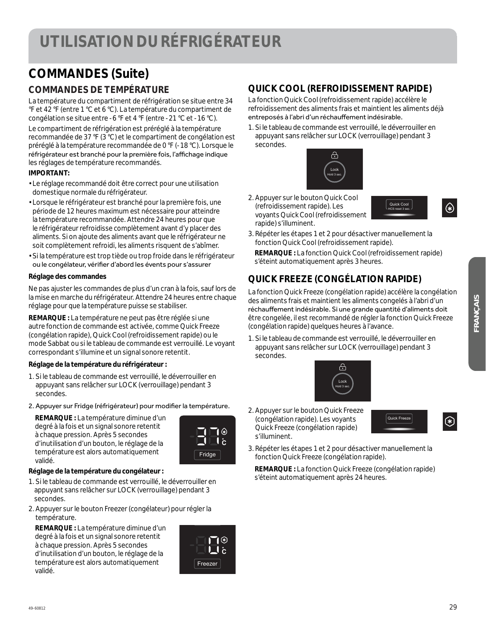### **COMMANDES (Suite)**

#### **COMMANDES DE TEMPÉRATURE**

La température du compartiment de réfrigération se situe entre 34 °F et 42 °F (entre 1 °C et 6 °C). La température du compartiment de congélation se situe entre -6 °F et 4 °F (entre -21 °C et -16 °C). Le compartiment de réfrigération est préréglé à la température recommandée de 37 °F (3 °C) et le compartiment de congélation est préréglé à la température recommandée de 0 °F (-18 °C). Lorsque le réfrigérateur est branché pour la première fois, l'affichage indique les réglages de température recommandés.

#### **IMPORTANT:**

- Le réglage recommandé doit être correct pour une utilisation domestique normale du réfrigérateur.
- Lorsque le réfrigérateur est branché pour la première fois, une période de 12 heures maximum est nécessaire pour atteindre la température recommandée. Attendre 24 heures pour que le réfrigérateur refroidisse complètement avant d'y placer des aliments. Si on ajoute des aliments avant que le réfrigérateur ne soit complètement refroidi, les aliments risquent de s'abîmer.
- Si la température est trop tiède ou trop froide dans le réfrigérateur ou le congélateur, vérifier d'abord les évents pour s'assurer

#### **Réglage des commandes**

Ne pas ajuster les commandes de plus d'un cran à la fois, sauf lors de la mise en marche du réfrigérateur. Attendre 24 heures entre chaque réglage pour que la température puisse se stabiliser.

**REMARQUE :** La température ne peut pas être réglée si une autre fonction de commande est activée, comme Quick Freeze (congélation rapide), Quick Cool (refroidissement rapide) ou le mode Sabbat ou si le tableau de commande est verrouillé. Le voyant correspondant s'illumine et un signal sonore retentit.

#### **Réglage de la température du réfrigérateur :**

- 1. Si le tableau de commande est verrouillé, le déverrouiller en appuyant sans relâcher sur LOCK (verrouillage) pendant 3 secondes.
- 2. Appuyer sur Fridge (réfrigérateur) pour modifier la température.

 **REMARQUE :** La température diminue d'un degré à la fois et un signal sonore retentit à chaque pression. Après 5 secondes d'inutilisation d'un bouton, le réglage de la température est alors automatiquement validé.



#### **Réglage de la température du congélateur :**

- 1. Si le tableau de commande est verrouillé, le déverrouiller en appuyant sans relâcher sur LOCK (verrouillage) pendant 3 secondes.
- 2. Appuyer sur le bouton Freezer (congélateur) pour régler la température.

 **REMARQUE :** La température diminue d'un degré à la fois et un signal sonore retentit à chaque pression. Après 5 secondes d'inutilisation d'un bouton, le réglage de la température est alors automatiquement validé.



#### **QUICK COOL (REFROIDISSEMENT RAPIDE)**

La fonction Quick Cool (refroidissement rapide) accélère le refroidissement des aliments frais et maintient les aliments déjà entreposés à l'abri d'un réchauffement indésirable.

1. Si le tableau de commande est verrouillé, le déverrouiller en appuyant sans relâcher sur LOCK (verrouillage) pendant 3 secondes.



2. Appuyer sur le bouton Quick Cool (refroidissement rapide). Les voyants Quick Cool (refroidissement rapide) s'illuminent.



- $\bigcirc$
- 3. Répéter les étapes 1 et 2 pour désactiver manuellement la fonction Quick Cool (refroidissement rapide).

 **REMARQUE :** La fonction Quick Cool (refroidissement rapide) s'éteint automatiquement après 3 heures.

#### **QUICK FREEZE (CONGÉLATION RAPIDE)**

La fonction Quick Freeze (congélation rapide) accélère la congélation des aliments frais et maintient les aliments congelés à l'abri d'un réchauffement indésirable. Si une grande quantité d'aliments doit être congelée, il est recommandé de régler la fonction Quick Freeze (congélation rapide) quelques heures à l'avance.

1. Si le tableau de commande est verrouillé, le déverrouiller en appuyant sans relâcher sur LOCK (verrouillage) pendant 3 secondes.



2. Appuyer sur le bouton Quick Freeze (congélation rapide). Les voyants Quick Freeze (congélation rapide) s'illuminent.



- $\circledast$
- 3. Répéter les étapes 1 et 2 pour désactiver manuellement la fonction Quick Freeze (congélation rapide).

 **REMARQUE :** La fonction Quick Freeze (congélation rapide) s'éteint automatiquement après 24 heures.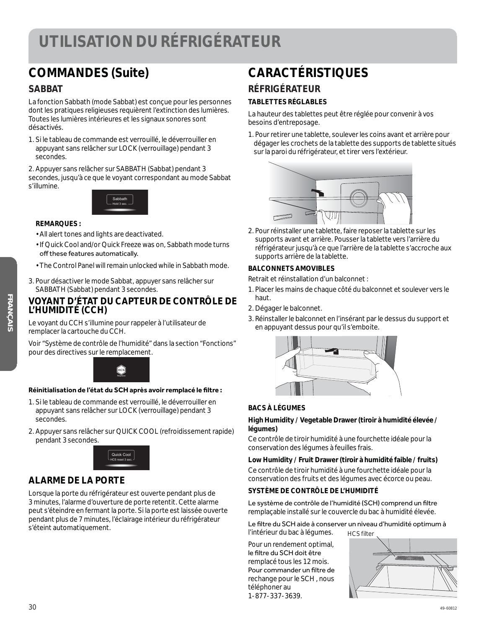### **UTILISATION DU RÉFRIGÉRATEUR**

### **COMMANDES (Suite)**

#### **SABBAT**

La fonction Sabbath (mode Sabbat) est conçue pour les personnes dont les pratiques religieuses requièrent l'extinction des lumières. Toutes les lumières intérieures et les signaux sonores sont désactivés.

1. Si le tableau de commande est verrouillé, le déverrouiller en appuyant sans relâcher sur LOCK (verrouillage) pendant 3 secondes.

2. Appuyer sans relâcher sur SABBATH (Sabbat) pendant 3 secondes, jusqu'à ce que le voyant correspondant au mode Sabbat s'illumine.



#### **REMARQUES :**

- All alert tones and lights are deactivated.
- If Quick Cool and/or Quick Freeze was on, Sabbath mode turns off these features automatically.
- The Control Panel will remain unlocked while in Sabbath mode.
- 3. Pour désactiver le mode Sabbat, appuyer sans relâcher sur SABBATH (Sabbat) pendant 3 secondes.

#### **VOYANT D'ÉTAT DU CAPTEUR DE CONTRÔLE DE L'HUMIDITÉ (CCH)**

Le voyant du CCH s'illumine pour rappeler à l'utilisateur de remplacer la cartouche du CCH.

Voir "Système de contrôle de l'humidité" dans la section "Fonctions" pour des directives sur le remplacement.



#### Réinitialisation de l'état du SCH après avoir remplacé le filtre :

- 1. Si le tableau de commande est verrouillé, le déverrouiller en appuyant sans relâcher sur LOCK (verrouillage) pendant 3 secondes.
- 2. Appuyer sans relâcher sur QUICK COOL (refroidissement rapide) pendant 3 secondes.



#### **ALARME DE LA PORTE**

Lorsque la porte du réfrigérateur est ouverte pendant plus de 3 minutes, l'alarme d'ouverture de porte retentit. Cette alarme peut s'éteindre en fermant la porte. Si la porte est laissée ouverte pendant plus de 7 minutes, l'éclairage intérieur du réfrigérateur s'éteint automatiquement.

#### **CARACTÉRISTIQUES RÉFRIGÉRATEUR**

#### **TABLETTES RÉGLABLES**

La hauteur des tablettes peut être réglée pour convenir à vos besoins d'entreposage.

1. Pour retirer une tablette, soulever les coins avant et arrière pour dégager les crochets de la tablette des supports de tablette situés sur la paroi du réfrigérateur, et tirer vers l'extérieur.



2. Pour réinstaller une tablette, faire reposer la tablette sur les supports avant et arrière. Pousser la tablette vers l'arrière du réfrigérateur jusqu'à ce que l'arrière de la tablette s'accroche aux supports arrière de la tablette.

#### **BALCONNETS AMOVIBLES**

Retrait et réinstallation d'un balconnet :

- 1. Placer les mains de chaque côté du balconnet et soulever vers le haut.
- 2. Dégager le balconnet.
- 3. Réinstaller le balconnet en l'insérant par le dessus du support et en appuyant dessus pour qu'il s'emboite.



#### **BACS À LÉGUMES**

#### **High Humidity / Vegetable Drawer (tiroir à humidité élevée / légumes)**

Ce contrôle de tiroir humidité à une fourchette idéale pour la conservation des légumes à feuilles frais.

#### **Low Humidity / Fruit Drawer (tiroir à humidité faible / fruits)**

Ce contrôle de tiroir humidité à une fourchette idéale pour la conservation des fruits et des légumes avec écorce ou peau.

#### **SYSTÈME DE CONTRÔLE DE L'HUMIDITÉ**

Le système de contrôle de l'humidité (SCH) comprend un filtre remplaçable installé sur le couvercle du bac à humidité élevée.

Le filtre du SCH aide à conserver un niveau d'humidité optimum à l'intérieur du bac à légumes. HCS filter

Pour un rendement optimal, le filtre du SCH doit être remplacé tous les 12 mois. Pour commander un filtre de rechange pour le SCH , nous téléphoner au 1-877-337-3639.

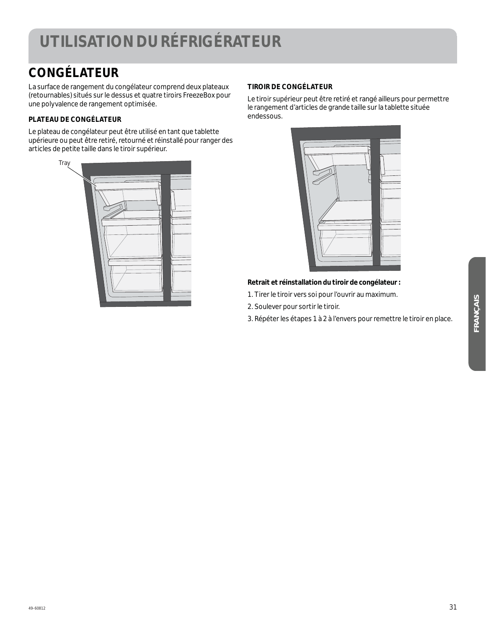### **UTILISATION DU RÉFRIGÉRATEUR**

### **CONGÉLATEUR**

La surface de rangement du congélateur comprend deux plateaux (retournables) situés sur le dessus et quatre tiroirs FreezeBox pour une polyvalence de rangement optimisée.

#### **PLATEAU DE CONGÉLATEUR**

Le plateau de congélateur peut être utilisé en tant que tablette upérieure ou peut être retiré, retourné et réinstallé pour ranger des articles de petite taille dans le tiroir supérieur.

| Tray |  |
|------|--|
|      |  |
|      |  |
|      |  |

#### **TIROIR DE CONGÉLATEUR**

Le tiroir supérieur peut être retiré et rangé ailleurs pour permettre le rangement d'articles de grande taille sur la tablette située endessous.



#### **Retrait et réinstallation du tiroir de congélateur :**

- 1. Tirer le tiroir vers soi pour l'ouvrir au maximum.
- 2. Soulever pour sortir le tiroir.
- 3. Répéter les étapes 1 à 2 à l'envers pour remettre le tiroir en place.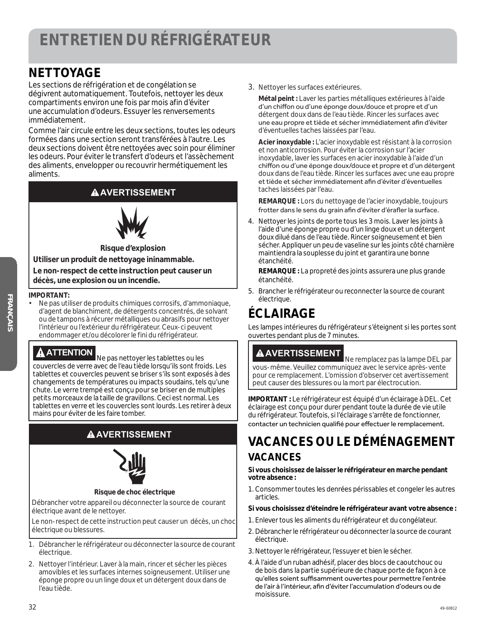### **NETTOYAGE**

Les sections de réfrigération et de congélation se dégivrent automatiquement. Toutefois, nettoyer les deux compartiments environ une fois par mois afin d'éviter une accumulation d'odeurs. Essuyer les renversements immédiatement.

Comme l'air circule entre les deux sections, toutes les odeurs formées dans une section seront transférées à l'autre. Les deux sections doivent être nettoyées avec soin pour éliminer les odeurs. Pour éviter le transfert d'odeurs et l'assèchement des aliments, envelopper ou recouvrir hermétiquement les aliments.

#### **AAVERTISSEMENT**



**Risque d'explosion Utiliser un produit de nettoyage ininammable. Le non-respect de cette instruction peut causer un décès, une explosion ou un incendie.**

#### **IMPORTANT:**

• Ne pas utiliser de produits chimiques corrosifs, d'ammoniaque, d'agent de blanchiment, de détergents concentrés, de solvant ou de tampons à récurer métalliques ou abrasifs pour nettoyer l'intérieur ou l'extérieur du réfrigérateur. Ceux-ci peuvent endommager et/ou décolorer le fini du réfrigérateur.

**ATTENTION** Ne pas nettoyer les tablettes ou les couvercles de verre avec de l'eau tiède lorsqu'ils sont froids. Les tablettes et couvercles peuvent se briser s'ils sont exposés à des changements de températures ou impacts soudains, tels qu'une chute. Le verre trempé est conçu pour se briser en de multiples petits morceaux de la taille de gravillons. Ceci est normal. Les tablettes en verre et les couvercles sont lourds. Les retirer à deux mains pour éviter de les faire tomber.

#### **AAVERTISSEMENT**



#### **Risque de choc électrique**

Débrancher votre appareil ou déconnecter la source de courant électrique avant de le nettoyer.

Le non-respect de cette instruction peut causer un décès, un choc électrique ou blessures.

- 1. Débrancher le réfrigérateur ou déconnecter la source de courant électrique.
- 2. Nettoyer l'intérieur. Laver à la main, rincer et sécher les pièces amovibles et les surfaces internes soigneusement. Utiliser une éponge propre ou un linge doux et un détergent doux dans de l'eau tiède.

3. Nettoyer les surfaces extérieures.

 **Métal peint :** Laver les parties métalliques extérieures à l'aide d'un chiffon ou d'une éponge doux/douce et propre et d'un détergent doux dans de l'eau tiède. Rincer les surfaces avec une eau propre et tiède et sécher immédiatement afin d'éviter d'éventuelles taches laissées par l'eau.

 **Acier inoxydable :** L'acier inoxydable est résistant à la corrosion et non anticorrosion. Pour éviter la corrosion sur l'acier inoxydable, laver les surfaces en acier inoxydable à l'aide d'un chiffon ou d'une éponge doux/douce et propre et d'un détergent doux dans de l'eau tiède. Rincer les surfaces avec une eau propre et tiède et sécher immédiatement afin d'éviter d'éventuelles taches laissées par l'eau.

 **REMARQUE :** Lors du nettoyage de l'acier inoxydable, toujours frotter dans le sens du grain afin d'éviter d'érafler la surface.

4. Nettoyer les joints de porte tous les 3 mois. Laver les joints à l'aide d'une éponge propre ou d'un linge doux et un détergent doux dilué dans de l'eau tiède. Rincer soigneusement et bien sécher. Appliquer un peu de vaseline sur les joints côté charnière maintiendra la souplesse du joint et garantira une bonne étanchéité.

 **REMARQUE :** La propreté des joints assurera une plus grande étanchéité.

5. Brancher le réfrigérateur ou reconnecter la source de courant électrique.

### **ÉCLAIRAGE**

Les lampes intérieures du réfrigérateur s'éteignent si les portes sont ouvertes pendant plus de 7 minutes.

#### **AVERTISSEMENT**

 Ne remplacez pas la lampe DEL par vous-même. Veuillez communiquez avec le service après-vente pour ce remplacement. L'omission d'observer cet avertissement peut causer des blessures ou la mort par électrocution.

**IMPORTANT :** Le réfrigérateur est équipé d'un éclairage à DEL. Cet éclairage est conçu pour durer pendant toute la durée de vie utile du réfrigérateur. Toutefois, si l'éclairage s'arrête de fonctionner, contacter un technicien qualifié pour effectuer le remplacement.

### **VACANCES OU LE DÉMÉNAGEMENT VACANCES**

**Si vous choisissez de laisser le réfrigérateur en marche pendant votre absence :**

1. Consommer toutes les denrées périssables et congeler les autres articles.

#### **Si vous choisissez d'éteindre le réfrigérateur avant votre absence :**

- 1. Enlever tous les aliments du réfrigérateur et du congélateur.
- 2. Débrancher le réfrigérateur ou déconnecter la source de courant électrique.
- 3. Nettoyer le réfrigérateur, l'essuyer et bien le sécher.
- 4. À l'aide d'un ruban adhésif, placer des blocs de caoutchouc ou de bois dans la partie supérieure de chaque porte de façon à ce qu'elles soient suffisamment ouvertes pour permettre l'entrée de l'air à l'intérieur, afin d'éviter l'accumulation d'odeurs ou de moisissure.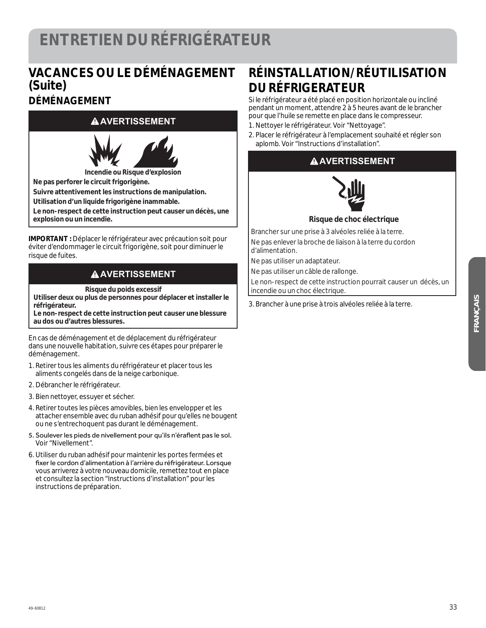#### **VACANCES OU LE DÉMÉNAGEMENT (Suite) DÉMÉNAGEMENT**

#### **AVERTISSEMENT**



**Incendie ou Risque d'explosion**

**Ne pas perforer le circuit frigorigène.**

**Suivre attentivement les instructions de manipulation.**

**Utilisation d'un liquide frigorigène inammable.**

**Le non-respect de cette instruction peut causer un décès, une explosion ou un incendie.**

**IMPORTANT :** Déplacer le réfrigérateur avec précaution soit pour éviter d'endommager le circuit frigorigène, soit pour diminuer le risque de fuites.

#### **A** AVERTISSEMENT

**Risque du poids excessif** 

**Utiliser deux ou plus de personnes pour déplacer et installer le réfrigérateur.**

**Le non-respect de cette instruction peut causer une blessure au dos ou d'autres blessures.**

En cas de déménagement et de déplacement du réfrigérateur dans une nouvelle habitation, suivre ces étapes pour préparer le déménagement.

- 1. Retirer tous les aliments du réfrigérateur et placer tous les aliments congelés dans de la neige carbonique.
- 2. Débrancher le réfrigérateur.
- 3. Bien nettoyer, essuyer et sécher.
- 4. Retirer toutes les pièces amovibles, bien les envelopper et les attacher ensemble avec du ruban adhésif pour qu'elles ne bougent ou ne s'entrechoquent pas durant le déménagement.
- 5. Soulever les pieds de nivellement pour qu'ils n'éraflent pas le sol. Voir "Nivellement".
- 6. Utiliser du ruban adhésif pour maintenir les portes fermées et fixer le cordon d'alimentation à l'arrière du réfrigérateur. Lorsque vous arriverez à votre nouveau domicile, remettez tout en place et consultez la section "Instructions d'installation" pour les instructions de préparation.

### **RÉINSTALLATION/RÉUTILISATION DU RÉFRIGERATEUR**

Si le réfrigérateur a été placé en position horizontale ou incliné pendant un moment, attendre 2 à 5 heures avant de le brancher pour que l'huile se remette en place dans le compresseur. 1. Nettoyer le réfrigérateur. Voir "Nettoyage".

- 
- 2. Placer le réfrigérateur à l'emplacement souhaité et régler son aplomb. Voir "Instructions d'installation".

#### **AAVERTISSEMENT**



#### **Risque de choc électrique**

Brancher sur une prise à 3 alvéoles reliée à la terre. Ne pas enlever la broche de liaison à la terre du cordon d'alimentation.

Ne pas utiliser un adaptateur.

Ne pas utiliser un câble de rallonge.

Le non-respect de cette instruction pourrait causer un décès, un incendie ou un choc électrique.

3. Brancher à une prise à trois alvéoles reliée à la terre.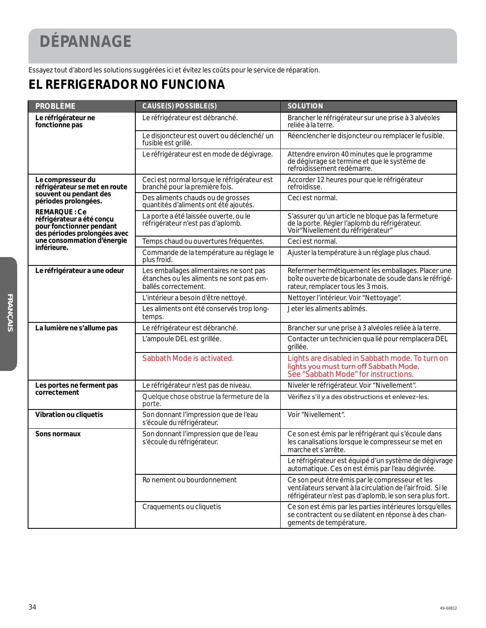## **DÉPANNAGE**

Essayez tout d'abord les solutions suggérées ici et évitez les coûts pour le service de réparation.

### **EL REFRIGERADOR NO FUNCIONA**

| <b>PROBLÈME</b>                                                                                              | CAUSE(S) POSSIBLE(S)                                                                                        | <b>SOLUTION</b>                                                                                                                                                            |
|--------------------------------------------------------------------------------------------------------------|-------------------------------------------------------------------------------------------------------------|----------------------------------------------------------------------------------------------------------------------------------------------------------------------------|
| Le réfrigérateur ne<br>fonctionne pas                                                                        | Le réfrigérateur est débranché.                                                                             | Brancher le réfrigérateur sur une prise à 3 alvéoles<br>reliée à la terre.                                                                                                 |
|                                                                                                              | Le disjoncteur est ouvert ou déclenché/ un<br>fusible est grillé.                                           | Réenclencher le disjoncteur ou remplacer le fusible.                                                                                                                       |
|                                                                                                              | Le réfrigérateur est en mode de dégivrage.                                                                  | Attendre environ 40 minutes que le programme<br>de dégivrage se termine et que le système de<br>refroidissement redémarre.                                                 |
| Le compresseur du<br>réfrigérateur se met en route                                                           | Ceci est normal lorsque le réfrigérateur est<br>branché pour la première fois.                              | Accorder 12 heures pour que le réfrigérateur<br>refroidisse.                                                                                                               |
| souvent ou pendant des<br>périodes prolongées.                                                               | Des aliments chauds ou de grosses<br>quantités d'aliments ont été ajoutés.                                  | Ceci est normal.                                                                                                                                                           |
| <b>REMARQUE: Ce</b><br>réfrigérateur a été conçu<br>pour fonctionner pendant<br>des périodes prolongées avec | La porte a été laissée ouverte, ou le<br>réfrigérateur n'est pas d'aplomb.                                  | S'assurer qu'un article ne bloque pas la fermeture<br>de la porte. Régler l'aplomb du réfrigérateur.<br>Voir "Nivellement du réfrigérateur"                                |
| une consommation d'énergie<br>inférieure.                                                                    | Temps chaud ou ouvertures fréquentes.                                                                       | Ceci est normal.                                                                                                                                                           |
|                                                                                                              | Commande de la température au réglage le<br>plus froid.                                                     | Ajuster la température à un réglage plus chaud.                                                                                                                            |
| Le réfrigérateur a une odeur                                                                                 | Les emballages alimentaires ne sont pas<br>étanches ou les aliments ne sont pas em-<br>ballés correctement. | Refermer hermétiquement les emballages. Placer une<br>boîte ouverte de bicarbonate de soude dans le réfrigé-<br>rateur, remplacer tous les 3 mois.                         |
|                                                                                                              | L'intérieur a besoin d'être nettoyé.                                                                        | Nettoyer l'intérieur. Voir "Nettoyage".                                                                                                                                    |
|                                                                                                              | Les aliments ont été conservés trop long-<br>temps.                                                         | Jeter les aliments abîmés.                                                                                                                                                 |
| La lumière ne s'allume pas                                                                                   | Le réfrigérateur est débranché.                                                                             | Brancher sur une prise à 3 alvéoles reliée à la terre.                                                                                                                     |
|                                                                                                              | L'ampoule DEL est grillée.                                                                                  | Contacter un technicien qua lié pour remplacera DEL<br>grillée.                                                                                                            |
|                                                                                                              | Sabbath Mode is activated.                                                                                  | Lights are disabled in Sabbath mode. To turn on<br>lights you must turn off Sabbath Mode.<br>See "Sabbath Mode" for instructions.                                          |
| Les portes ne ferment pas                                                                                    | Le réfrigérateur n'est pas de niveau.                                                                       | Niveler le réfrigérateur. Voir "Nivellement".                                                                                                                              |
| correctement                                                                                                 | Quelque chose obstrue la fermeture de la<br>porte.                                                          | Vérifiez s'il y a des obstructions et enlevez-les.                                                                                                                         |
| Vibration ou cliquetis                                                                                       | Son donnant l'impression que de l'eau<br>s'écoule du réfrigérateur.                                         | Voir "Nivellement".                                                                                                                                                        |
| Sons normaux                                                                                                 | Son donnant l'impression que de l'eau<br>s'écoule du réfrigérateur.                                         | Ce son est émis par le réfrigérant qui s'écoule dans<br>les canalisations lorsque le compresseur se met en<br>marche et s'arrête.                                          |
|                                                                                                              |                                                                                                             | Le réfrigérateur est équipé d'un système de dégivrage<br>automatique. Ces on est émis par l'eau dégivrée.                                                                  |
|                                                                                                              | Ro nement ou bourdonnement                                                                                  | Ce son peut être émis par le compresseur et les<br>ventilateurs servant à la circulation de l'air froid. Si le<br>réfrigérateur n'est pas d'aplomb, le son sera plus fort. |
|                                                                                                              | Craquements ou cliquetis                                                                                    | Ce son est émis par les parties intérieures lorsqu'elles<br>se contractent ou se dilatent en réponse à des chan-<br>gements de température.                                |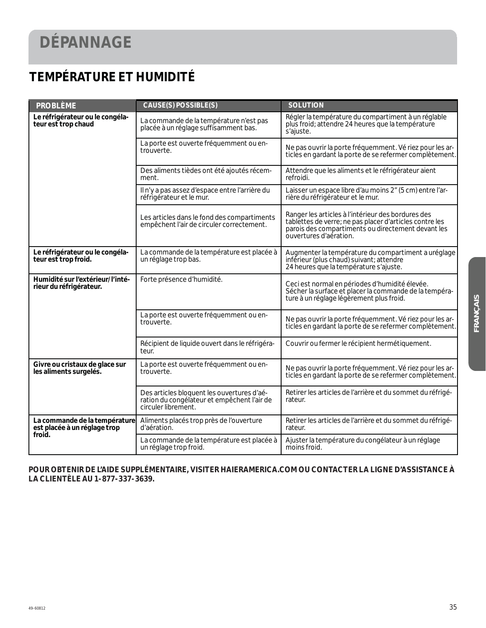## **DÉPANNAGE**

### **TEMPÉRATURE ET HUMIDITÉ**

| <b>PROBLÈME</b>                                               | <b>CAUSE(S) POSSIBLE(S)</b>                                                                                      | <b>SOLUTION</b>                                                                                                                                                                               |
|---------------------------------------------------------------|------------------------------------------------------------------------------------------------------------------|-----------------------------------------------------------------------------------------------------------------------------------------------------------------------------------------------|
| Le réfrigérateur ou le congéla-<br>teur est trop chaud        | La commande de la température n'est pas<br>placée à un réglage suffisamment bas.                                 | Régler la température du compartiment à un réglable<br>plus froid; attendre 24 heures que la température<br>s'ajuste.                                                                         |
|                                                               | La porte est ouverte fréquemment ou en-<br>trouverte.                                                            | Ne pas ouvrir la porte fréquemment. Vé riez pour les ar-<br>ticles en gardant la porte de se refermer complètement.                                                                           |
|                                                               | Des aliments tièdes ont été ajoutés récem-<br>ment.                                                              | Attendre que les aliments et le réfrigérateur aient<br>refroidi.                                                                                                                              |
|                                                               | Il n'y a pas assez d'espace entre l'arrière du<br>réfrigérateur et le mur.                                       | Laisser un espace libre d'au moins 2" (5 cm) entre l'ar-<br>rière du réfrigérateur et le mur.                                                                                                 |
|                                                               | Les articles dans le fond des compartiments<br>empêchent l'air de circuler correctement.                         | Ranger les articles à l'intérieur des bordures des<br>tablettes de verre; ne pas placer d'articles contre les<br>parois des compartiments ou directement devant les<br>ouvertures d'aération. |
| Le réfrigérateur ou le congéla-<br>teur est trop froid.       | La commande de la température est placée à<br>un réglage trop bas.                                               | Augmenter la température du compartiment a uréglage<br>inferieur (plus chaud) suivant; attendre<br>24 heures que la température s'ajuste.                                                     |
| Humidité sur l'extérieur/l'inté-<br>rieur du réfrigérateur.   | Forte présence d'humidité.                                                                                       | Ceci est normal en périodes d'humidité élevée.<br>Sécher la surface et placer la commande de la tempéra-<br>ture à un réglage légèrement plus froid.                                          |
|                                                               | La porte est ouverte fréquemment ou en-<br>trouverte.                                                            | Ne pas ouvrir la porte fréquemment. Vé riez pour les ar-<br>ticles en gardant la porte de se refermer complètement.                                                                           |
|                                                               | Récipient de liquide ouvert dans le réfrigéra-<br>teur.                                                          | Couvrir ou fermer le récipient hermétiquement.                                                                                                                                                |
| Givre ou cristaux de glace sur<br>les aliments surgelés.      | La porte est ouverte fréquemment ou en-<br>trouverte.                                                            | Ne pas ouvrir la porte fréquemment. Vé riez pour les ar-<br>ticles en gardant la porte de se refermer complètement.                                                                           |
|                                                               | Des articles bloquent les ouvertures d'aé-<br>ration du congélateur et empêchent l'air de<br>circuler librement. | Retirer les articles de l'arrière et du sommet du réfrigé-<br>rateur.                                                                                                                         |
| La commande de la température<br>est placée à un réglage trop | Aliments placés trop près de l'ouverture<br>d'aération.                                                          | Retirer les articles de l'arrière et du sommet du réfrigé-<br>rateur.                                                                                                                         |
| froid.                                                        | La commande de la température est placée à<br>un réglage trop froid.                                             | Ajuster la température du congélateur à un réglage<br>moins froid.                                                                                                                            |

**POUR OBTENIR DE L'AIDE SUPPLÉMENTAIRE, VISITER HAIERAMERICA.COM OU CONTACTER LA LIGNE D'ASSISTANCE À LA CLIENTÈLE AU 1-877-337-3639.**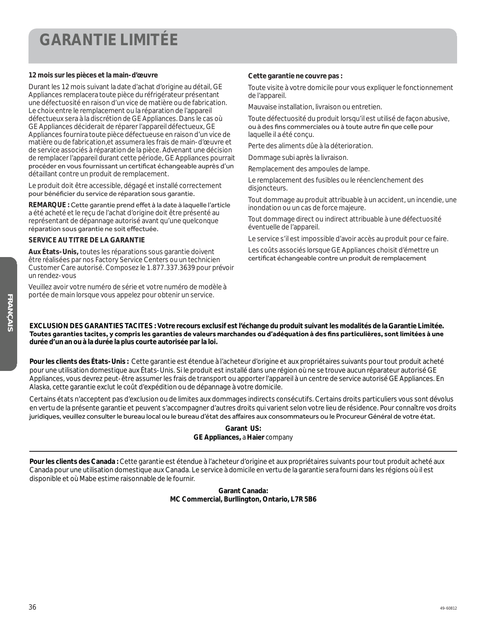### **GARANTIE LIMITÉE**

#### **12 mois sur les pièces et la main-d'œuvre**

Durant les 12 mois suivant la date d'achat d'origine au détail, GE Appliances remplacera toute pièce du réfrigérateur présentant une défectuosité en raison d'un vice de matière ou de fabrication. Le choix entre le remplacement ou la réparation de l'appareil défectueux sera à la discrétion de GE Appliances. Dans le cas où GE Appliances déciderait de réparer l'appareil défectueux, GE Appliances fournira toute pièce défectueuse en raison d'un vice de matière ou de fabrication,et assumera les frais de main-d'œuvre et de service associés à réparation de la pièce. Advenant une décision de remplacer l'appareil durant cette période, GE Appliances pourrait procéder en vous fournissant un certificat échangeable auprès d'un détaillant contre un produit de remplacement.

Le produit doit être accessible, dégagé et installé correctement pour bénéficier du service de réparation sous garantie.

**REMARQUE : Cette garantie prend effet à la date à laquelle l'article** a été acheté et le reçu de l'achat d'origine doit être présenté au représentant de dépannage autorisé avant qu'une quelconque réparation sous garantie ne soit effectuée.

#### **SERVICE AU TITRE DE LA GARANTIE**

**Aux États-Unis,** toutes les réparations sous garantie doivent être réalisées par nos Factory Service Centers ou un technicien Customer Care autorisé. Composez le 1.877.337.3639 pour prévoir un rendez-vous

Veuillez avoir votre numéro de série et votre numéro de modèle à portée de main lorsque vous appelez pour obtenir un service.

#### **Cette garantie ne couvre pas :**

Toute visite à votre domicile pour vous expliquer le fonctionnement de l'appareil.

Mauvaise installation, livraison ou entretien.

Toute défectuosité du produit lorsqu'il est utilisé de façon abusive, ou à des fins commerciales ou à toute autre fin que celle pour laquelle il a été conçu.

Perte des aliments dûe à la déterioration.

Dommage subi après la livraison.

Remplacement des ampoules de lampe.

Le remplacement des fusibles ou le réenclenchement des disjoncteurs.

Tout dommage au produit attribuable à un accident, un incendie, une inondation ou un cas de force majeure.

Tout dommage direct ou indirect attribuable à une défectuosité éventuelle de l'appareil.

Le service s'il est impossible d'avoir accès au produit pour ce faire.

Les coûts associés lorsque GE Appliances choisit d'émettre un certificat échangeable contre un produit de remplacement

**EXCLUSION DES GARANTIES TACITES : Votre recours exclusif est l'échange du produit suivant les modalités de la Garantie Limitée.** Toutes garanties tacites, y compris les garanties de valeurs marchandes ou d'adéquation à des fins particulières, sont limitées à une **durée d'un an ou à la durée la plus courte autorisée par la loi.**

**Pour les clients des États-Unis :** Cette garantie est étendue à l'acheteur d'origine et aux propriétaires suivants pour tout produit acheté pour une utilisation domestique aux États-Unis. Si le produit est installé dans une région où ne se trouve aucun réparateur autorisé GE Appliances, vous devrez peut-être assumer les frais de transport ou apporter l'appareil à un centre de service autorisé GE Appliances. En Alaska, cette garantie exclut le coût d'expédition ou de dépannage à votre domicile.

Certains états n'acceptent pas d'exclusion ou de limites aux dommages indirects consécutifs. Certains droits particuliers vous sont dévolus en vertu de la présente garantie et peuvent s'accompagner d'autres droits qui varient selon votre lieu de résidence. Pour connaître vos droits juridigues, veuillez consulter le bureau local ou le bureau d'état des affaires aux consommateurs ou le Procureur Général de votre état.

> **Garant US: GE Appliances,** *a* **Haier** *company*

**Pour les clients des Canada :** Cette garantie est étendue à l'acheteur d'origine et aux propriétaires suivants pour tout produit acheté aux Canada pour une utilisation domestique aux Canada. Le service à domicile en vertu de la garantie sera fourni dans les régions où il est disponible et où Mabe estime raisonnable de le fournir.

> **Garant Canada: MC Commercial, Burllington, Ontario, L7R 5B6**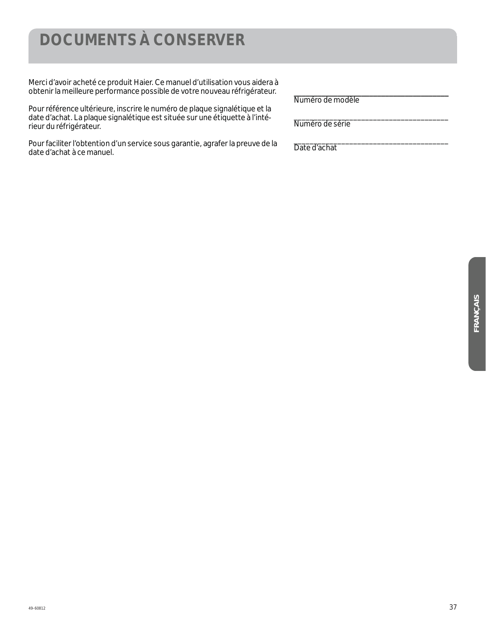### **DOCUMENTS À CONSERVER**

Merci d'avoir acheté ce produit Haier. Ce manuel d'utilisation vous aidera à obtenir la meilleure performance possible de votre nouveau réfrigérateur.

Pour référence ultérieure, inscrire le numéro de plaque signalétique et la date d'achat. La plaque signalétique est située sur une étiquette à l'intérieur du réfrigérateur.

Pour faciliter l'obtention d'un service sous garantie, agrafer la preuve de la date d'achat à ce manuel.

*\_\_\_\_\_\_\_\_\_\_\_\_\_\_\_\_\_\_\_\_\_\_\_\_\_\_\_\_\_\_\_\_\_\_\_\_\_\_\_*  Numéro de modèle

\_\_\_\_\_\_\_\_\_\_\_\_\_\_\_\_\_\_\_\_\_\_\_\_\_\_\_\_\_\_\_\_\_\_\_\_\_\_\_ Numéro de série

\_\_\_\_\_\_\_\_\_\_\_\_\_\_\_\_\_\_\_\_\_\_\_\_\_\_\_\_\_\_\_\_\_\_\_\_\_\_\_ Date d'achat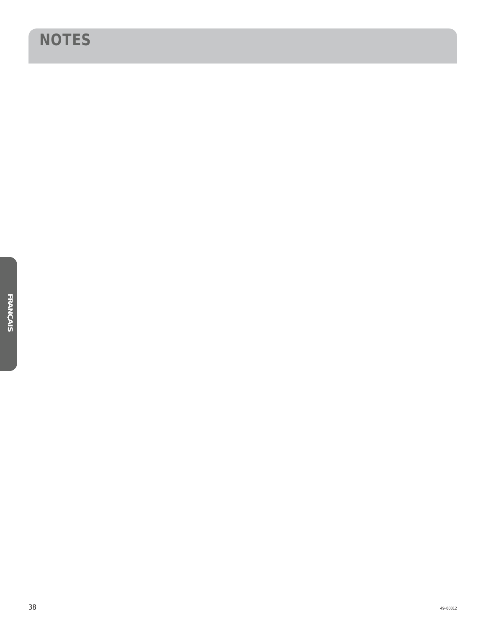### **NOTES**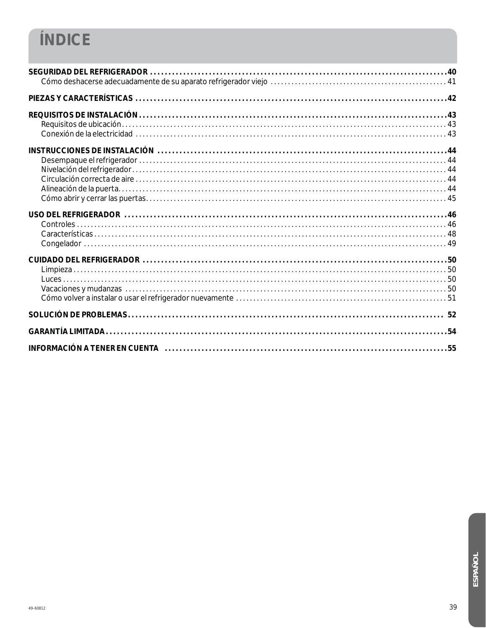## ÍNDICE

| INFORMACIÓN A TENER EN CUENTA (1999) 1999 - 1999 (1999) 1999 - 1999 (1999) 1999 (1999) 1999 (1999) 1999 (1999) |
|----------------------------------------------------------------------------------------------------------------|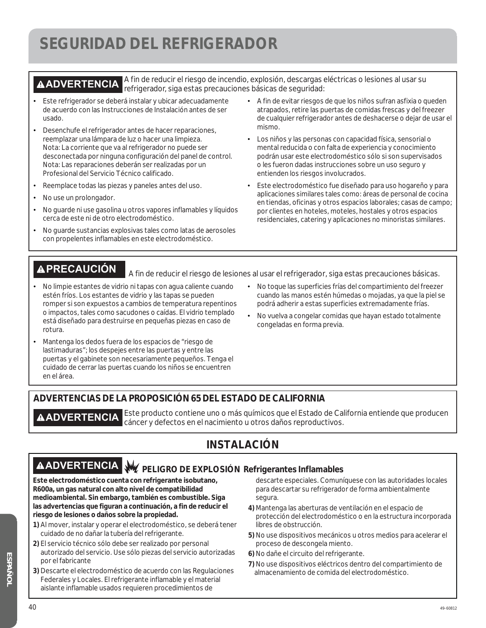### **SEGURIDAD DEL REFRIGERADOR**

**ADVERTENCIA** A fin de reducir el riesgo de incendio, explosión, descargas eléctricas o lesiones al usar su refrigerador, siga estas precauciones básicas de seguridad:

- Este refrigerador se deberá instalar y ubicar adecuadamente de acuerdo con las Instrucciones de Instalación antes de ser usado.
- ¿ Desenchufe el refrigerador antes de hacer reparaciones, reemplazar una lámpara de luz o hacer una limpieza. Nota: La corriente que va al refrigerador no puede ser desconectada por ninguna configuración del panel de control. Nota: Las reparaciones deberán ser realizadas por un Profesional del Servicio Técnico calificado.
- Reemplace todas las piezas y paneles antes del uso.
- No use un prolongador.
- No guarde ni use gasolina u otros vapores inflamables y líquidos cerca de este ni de otro electrodoméstico.
- No guarde sustancias explosivas tales como latas de aerosoles con propelentes inflamables en este electrodoméstico.
- ¿ A fin de evitar riesgos de que los niños sufran asfixia o queden atrapados, retire las puertas de comidas frescas y del freezer de cualquier refrigerador antes de deshacerse o dejar de usar el mismo.
- ¿ Los niños y las personas con capacidad física, sensorial o mental reducida o con falta de experiencia y conocimiento podrán usar este electrodoméstico sólo si son supervisados o les fueron dadas instrucciones sobre un uso seguro y entienden los riesgos involucrados.
- ¿ Este electrodoméstico fue diseñado para uso hogareño y para aplicaciones similares tales como: áreas de personal de cocina en tiendas, oficinas y otros espacios laborales; casas de campo; por clientes en hoteles, moteles, hostales y otros espacios residenciales, catering y aplicaciones no minoristas similares.

**A PRECAUCIÓN** A fin de reducir el riesgo de lesiones al usar el refrigerador, siga estas precauciones básicas.

- No limpie estantes de vidrio ni tapas con agua caliente cuando estén fríos. Los estantes de vidrio y las tapas se pueden romper si son expuestos a cambios de temperatura repentinos o impactos, tales como sacudones o caídas. El vidrio templado está diseñado para destruirse en pequeñas piezas en caso de rotura.
- Mantenga los dedos fuera de los espacios de "riesgo de lastimaduras"; los despejes entre las puertas y entre las puertas y el gabinete son necesariamente pequeños. Tenga el cuidado de cerrar las puertas cuando los niños se encuentren en el área.
- ¿ No toque las superficies frías del compartimiento del freezer cuando las manos estén húmedas o mojadas, ya que la piel se podrá adherir a estas superficies extremadamente frías.
- ¿ No vuelva a congelar comidas que hayan estado totalmente congeladas en forma previa.

#### **ADVERTENCIAS DE LA PROPOSICIÓN 65 DEL ESTADO DE CALIFORNIA**

**A ADVERTENCIA** Este producto contiene uno o más químicos que el Estado de California entiende que producen cáncer y defectos en el nacimiento u otros daños reproductivos.

#### **INSTALACIÓN**

## **AADVERTENCIA** W PELIGRO DE EXPLOSIÓN Refrigerantes Inflamables

**Este electrodoméstico cuenta con refrigerante isobutano, R600a, un gas natural con alto nivel de compatibilidad medioambiental. Sin embargo, también es combustible. Siga las advertencias que figuran a continuación, a fin de reducir el riesgo de lesiones o daños sobre la propiedad.**

- **1)** Al mover, instalar y operar el electrodoméstico, se deberá tener cuidado de no dañar la tubería del refrigerante.
- **2)** El servicio técnico sólo debe ser realizado por personal autorizado del servicio. Use sólo piezas del servicio autorizadas por el fabricante
- **3)** Descarte el electrodoméstico de acuerdo con las Regulaciones Federales y Locales. El refrigerante inflamable y el material aislante inflamable usados requieren procedimientos de
- descarte especiales. Comuníquese con las autoridades locales para descartar su refrigerador de forma ambientalmente segura.
- **4)** Mantenga las aberturas de ventilación en el espacio de protección del electrodoméstico o en la estructura incorporada libres de obstrucción.
- **5)** No use dispositivos mecánicos u otros medios para acelerar el proceso de descongela miento.
- **6)** No dañe el circuito del refrigerante.
- **7)** No use dispositivos eléctricos dentro del compartimiento de almacenamiento de comida del electrodoméstico.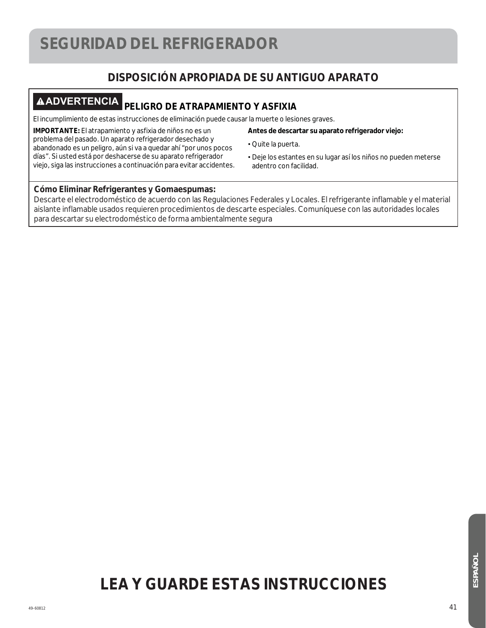### **SEGURIDAD DEL REFRIGERADOR**

#### **DISPOSICIÓN APROPIADA DE SU ANTIGUO APARATO**

### **ADVERTENCIA PELIGRO DE ATRAPAMIENTO Y ASFIXIA**

El incumplimiento de estas instrucciones de eliminación puede causar la muerte o lesiones graves.

**IMPORTANTE:** El atrapamiento y asfixia de niños no es un problema del pasado. Un aparato refrigerador desechado y abandonado es un peligro, aún si va a quedar ahí "por unos pocos días". Si usted está por deshacerse de su aparato refrigerador viejo, siga las instrucciones a continuación para evitar accidentes.

#### **Antes de descartar su aparato refrigerador viejo:**

- ¿ Quite la puerta.
- ¿ Deje los estantes en su lugar así los niños no pueden meterse adentro con facilidad.

#### **Cómo Eliminar Refrigerantes y Gomaespumas:**

Descarte el electrodoméstico de acuerdo con las Regulaciones Federales y Locales. El refrigerante inflamable y el material aislante inflamable usados requieren procedimientos de descarte especiales. Comuníquese con las autoridades locales para descartar su electrodoméstico de forma ambientalmente segura

## **LEA Y GUARDE ESTAS INSTRUCCIONES**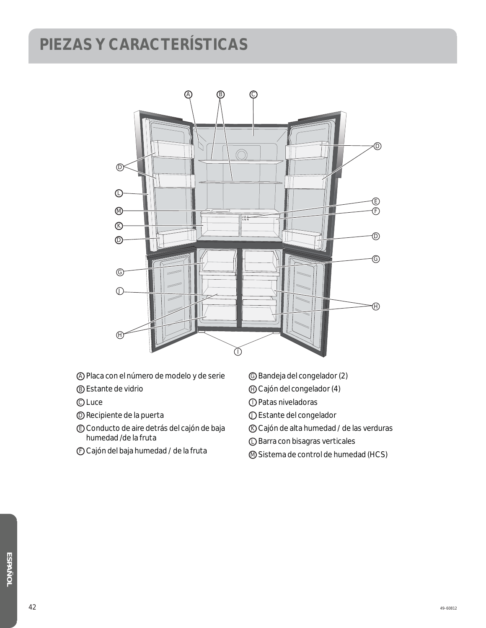## **PIEZAS Y CARACTERÍSTICAS**



- A Placa con el número de modelo y de serie
- B Estante de vidrio
- **C** Luce
- D Recipiente de la puerta
- E Conducto de aire detrás del cajón de baja humedad /de la fruta
- F Cajón del baja humedad / de la fruta
- G Bandeja del congelador (2)
- H Cajón del congelador (4)
- I Patas niveladoras
- J Estante del congelador
- K Cajón de alta humedad / de las verduras
- L Barra con bisagras verticales
- M Sistema de control de humedad (HCS)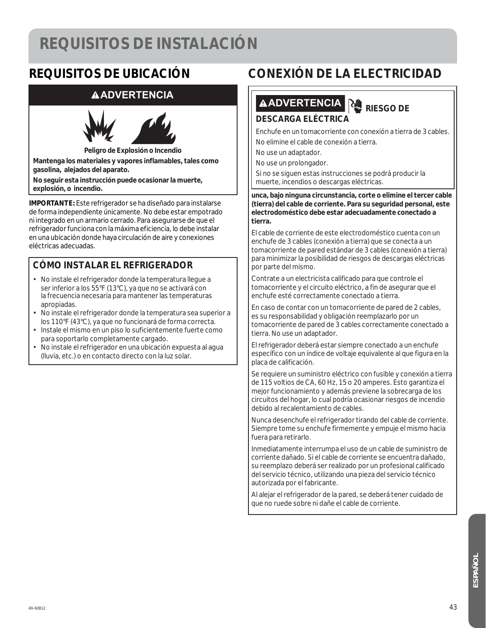### **REQUISITOS DE INSTALACIÓN**

### **REQUISITOS DE UBICACIÓN**

#### **ADVERTENCIA**



**Peligro de Explosión o Incendio**

**Mantenga los materiales y vapores inflamables, tales como gasolina, alejados del aparato.** 

**No seguir esta instrucción puede ocasionar la muerte, explosión, o incendio.**

**IMPORTANTE:** Este refrigerador se ha diseñado para instalarse de forma independiente únicamente. No debe estar empotrado ni integrado en un armario cerrado. Para asegurarse de que el refrigerador funciona con la máxima eficiencia, lo debe instalar en una ubicación donde haya circulación de aire y conexiones eléctricas adecuadas.

#### **CÓMO INSTALAR EL REFRIGERADOR**

- No instale el refrigerador donde la temperatura llegue a ser inferior a los 55°F (13°C), ya que no se activará con la frecuencia necesaria para mantener las temperaturas apropiadas.
- No instale el refrigerador donde la temperatura sea superior a los 110°F (43°C), ya que no funcionará de forma correcta.
- Instale el mismo en un piso lo suficientemente fuerte como para soportarlo completamente cargado.
- No instale el refrigerador en una ubicación expuesta al agua (lluvia, etc.) o en contacto directo con la luz solar.

### **CONEXIÓN DE LA ELECTRICIDAD**

## **ADVERTENCIA RIESGO DE**

#### **DESCARGA ELÉCTRICA**

Enchufe en un tomacorriente con conexión a tierra de 3 cables. No elimine el cable de conexión a tierra.

No use un adaptador.

No use un prolongador.

Si no se siguen estas instrucciones se podrá producir la muerte, incendios o descargas eléctricas.

**unca, bajo ninguna circunstancia, corte o elimine el tercer cable (tierra) del cable de corriente. Para su seguridad personal, este electrodoméstico debe estar adecuadamente conectado a tierra.**

El cable de corriente de este electrodoméstico cuenta con un enchufe de 3 cables (conexión a tierra) que se conecta a un tomacorriente de pared estándar de 3 cables (conexión a tierra) para minimizar la posibilidad de riesgos de descargas eléctricas por parte del mismo.

Contrate a un electricista calificado para que controle el tomacorriente y el circuito eléctrico, a fin de asegurar que el enchufe esté correctamente conectado a tierra.

En caso de contar con un tomacorriente de pared de 2 cables, es su responsabilidad y obligación reemplazarlo por un tomacorriente de pared de 3 cables correctamente conectado a tierra. No use un adaptador.

El refrigerador deberá estar siempre conectado a un enchufe específico con un índice de voltaje equivalente al que figura en la placa de calificación.

Se requiere un suministro eléctrico con fusible y conexión a tierra de 115 voltios de CA, 60 Hz, 15 o 20 amperes. Esto garantiza el mejor funcionamiento y además previene la sobrecarga de los circuitos del hogar, lo cual podría ocasionar riesgos de incendio debido al recalentamiento de cables.

Nunca desenchufe el refrigerador tirando del cable de corriente. Siempre tome su enchufe firmemente y empuje el mismo hacia fuera para retirarlo.

Inmediatamente interrumpa el uso de un cable de suministro de corriente dañado. Si el cable de corriente se encuentra dañado, su reemplazo deberá ser realizado por un profesional calificado del servicio técnico, utilizando una pieza del servicio técnico autorizada por el fabricante.

Al alejar el refrigerador de la pared, se deberá tener cuidado de que no ruede sobre ni dañe el cable de corriente.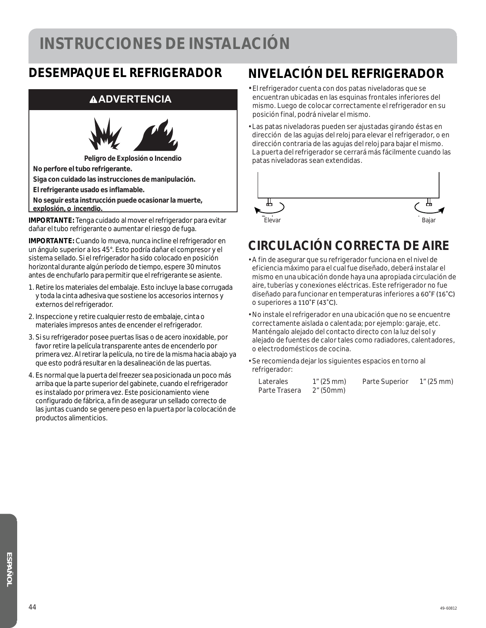### **INSTRUCCIONES DE INSTALACIÓN**

### **DESEMPAQUE EL REFRIGERADOR**

#### **ADVERTENCIA**



**Peligro de Explosión o Incendio**

**No perfore el tubo refrigerante.** 

**Siga con cuidado las instrucciones de manipulación.** 

**El refrigerante usado es inflamable.** 

**No seguir esta instrucción puede ocasionar la muerte, explosión, o incendio.** 

**IMPORTANTE:** Tenga cuidado al mover el refrigerador para evitar dañar el tubo refrigerante o aumentar el riesgo de fuga.

**IMPORTANTE:** Cuando lo mueva, nunca incline el refrigerador en un ángulo superior a los 45°. Esto podría dañar el compresor y el sistema sellado. Si el refrigerador ha sido colocado en posición horizontal durante algún período de tiempo, espere 30 minutos antes de enchufarlo para permitir que el refrigerante se asiente.

- 1. Retire los materiales del embalaje. Esto incluye la base corrugada y toda la cinta adhesiva que sostiene los accesorios internos y externos del refrigerador.
- 2. Inspeccione y retire cualquier resto de embalaje, cinta o materiales impresos antes de encender el refrigerador.
- 3. Si su refrigerador posee puertas lisas o de acero inoxidable, por favor retire la película transparente antes de encenderlo por primera vez. Al retirar la película, no tire de la misma hacia abajo ya que esto podrá resultar en la desalineación de las puertas.
- 4. Es normal que la puerta del freezer sea posicionada un poco más arriba que la parte superior del gabinete, cuando el refrigerador es instalado por primera vez. Este posicionamiento viene configurado de fábrica, a fin de asegurar un sellado correcto de las juntas cuando se genere peso en la puerta por la colocación de productos alimenticios.

### **NIVELACIÓN DEL REFRIGERADOR**

- El refrigerador cuenta con dos patas niveladoras que se encuentran ubicadas en las esquinas frontales inferiores del mismo. Luego de colocar correctamente el refrigerador en su posición final, podrá nivelar el mismo.
- Las patas niveladoras pueden ser ajustadas girando éstas en dirección de las agujas del reloj para elevar el refrigerador, o en dirección contraria de las agujas del reloj para bajar el mismo. La puerta del refrigerador se cerrará más fácilmente cuando las patas niveladoras sean extendidas.



### **CIRCULACIÓN CORRECTA DE AIRE**

- A fin de asegurar que su refrigerador funciona en el nivel de eficiencia máximo para el cual fue diseñado, deberá instalar el mismo en una ubicación donde haya una apropiada circulación de aire, tuberías y conexiones eléctricas. Este refrigerador no fue diseñado para funcionar en temperaturas inferiores a 60°F (16°C) o superiores a 110°F (43°C).
- No instale el refrigerador en una ubicación que no se encuentre correctamente aislada o calentada; por ejemplo: garaje, etc. Manténgalo alejado del contacto directo con la luz del sol y alejado de fuentes de calor tales como radiadores, calentadores, o electrodomésticos de cocina.
- Se recomienda dejar los siguientes espacios en torno al refrigerador:

| Laterales     | $1''(25 \text{ mm})$      | Parte Superior | 1" (25 mm) |
|---------------|---------------------------|----------------|------------|
| Parte Trasera | $2^{\prime\prime}$ (50mm) |                |            |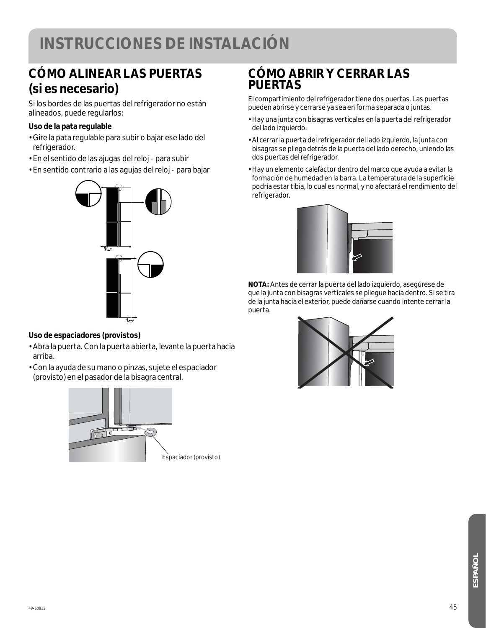### **INSTRUCCIONES DE INSTALACIÓN**

### **CÓMO ALINEAR LAS PUERTAS (si es necesario)**

Si los bordes de las puertas del refrigerador no están alineados, puede regularlos:

#### **Uso de la pata regulable**

- Gire la pata regulable para subir o bajar ese lado del refrigerador.
- En el sentido de las ajugas del reloj para subir
- En sentido contrario a las agujas del reloj para bajar



#### **Uso de espaciadores (provistos)**

- Abra la puerta. Con la puerta abierta, levante la puerta hacia arriba.
- Con la ayuda de su mano o pinzas, sujete el espaciador (provisto) en el pasador de la bisagra central.



### **CÓMO ABRIR Y CERRAR LAS PUERTAS**

El compartimiento del refrigerador tiene dos puertas. Las puertas pueden abrirse y cerrarse ya sea en forma separada o juntas.

- Hay una junta con bisagras verticales en la puerta del refrigerador del lado izquierdo.
- Al cerrar la puerta del refrigerador del lado izquierdo, la junta con bisagras se pliega detrás de la puerta del lado derecho, uniendo las dos puertas del refrigerador.
- Hay un elemento calefactor dentro del marco que ayuda a evitar la formación de humedad en la barra. La temperatura de la superficie podría estar tibia, lo cual es normal, y no afectará el rendimiento del refrigerador.



**NOTA:** Antes de cerrar la puerta del lado izquierdo, asegúrese de que la junta con bisagras verticales se pliegue hacia dentro. Si se tira de la junta hacia el exterior, puede dañarse cuando intente cerrar la puerta.

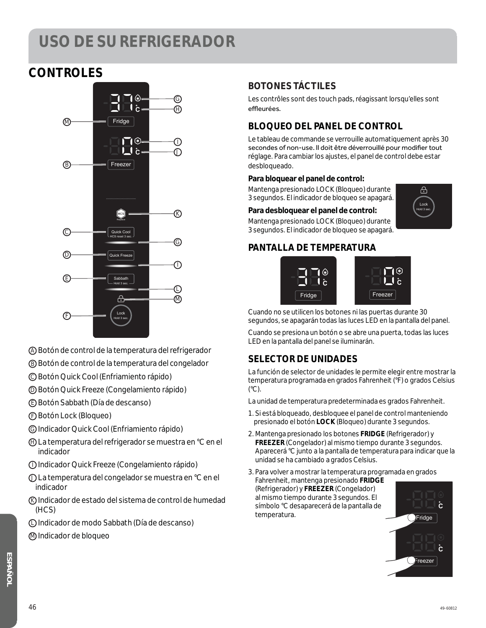### **CONTROLES**



- A Botón de control de la temperatura del refrigerador
- B Botón de control de la temperatura del congelador
- C Botón Quick Cool (Enfriamiento rápido)
- D Botón Quick Freeze (Congelamiento rápido)
- E Botón Sabbath (Día de descanso)
- F Botón Lock (Bloqueo)
- G Indicador Quick Cool (Enfriamiento rápido)
- H La temperatura del refrigerador se muestra en °C en el indicador
- I Indicador Quick Freeze (Congelamiento rápido)
- J La temperatura del congelador se muestra en °C en el indicador
- K Indicador de estado del sistema de control de humedad (HCS)
- L Indicador de modo Sabbath (Día de descanso)
- M Indicador de bloqueo

#### **BOTONES TÁCTILES**

Les contrôles sont des touch pads, réagissant lorsqu'elles sont effleurées.

#### **BLOQUEO DEL PANEL DE CONTROL**

Le tableau de commande se verrouille automatiquement après 30 secondes of non-use. Il doit être déverrouillé pour modifier tout réglage. Para cambiar los ajustes, el panel de control debe estar desbloqueado.

#### **Para bloquear el panel de control:**

Mantenga presionado LOCK (Bloqueo) durante 3 segundos. El indicador de bloqueo se apagará.

#### **Para desbloquear el panel de control:**

Mantenga presionado LOCK (Bloqueo) durante 3 segundos. El indicador de bloqueo se apagará.

#### **PANTALLA DE TEMPERATURA**



Cuando no se utilicen los botones ni las puertas durante 30 segundos, se apagarán todas las luces LED en la pantalla del panel.

Cuando se presiona un botón o se abre una puerta, todas las luces LED en la pantalla del panel se iluminarán.

#### **SELECTOR DE UNIDADES**

La función de selector de unidades le permite elegir entre mostrar la temperatura programada en grados Fahrenheit (°F) o grados Celsius (°C).

La unidad de temperatura predeterminada es grados Fahrenheit.

- 1. Si está bloqueado, desbloquee el panel de control manteniendo presionado el botón **LOCK** (Bloqueo) durante 3 segundos.
- 2. Mantenga presionado los botones **FRIDGE** (Refrigerador) y **FREEZER** (Congelador) al mismo tiempo durante 3 segundos. Aparecerá °C junto a la pantalla de temperatura para indicar que la unidad se ha cambiado a grados Celsius.

3. Para volver a mostrar la temperatura programada en grados Fahrenheit, mantenga presionado **FRIDGE**

(Refrigerador) y **FREEZER** (Congelador) al mismo tiempo durante 3 segundos. El símbolo °C desaparecerá de la pantalla de temperatura.



Hold 3 sec. Lock

क़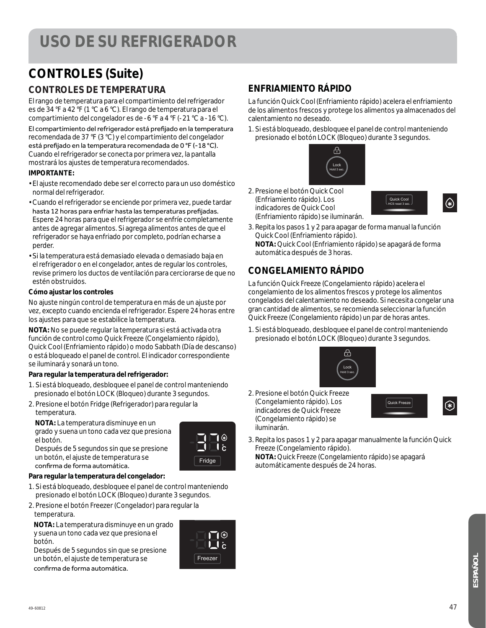### **CONTROLES (Suite)**

#### **CONTROLES DE TEMPERATURA**

El rango de temperatura para el compartimiento del refrigerador es de 34 °F a 42 °F (1 °C a 6 °C). El rango de temperatura para el compartimiento del congelador es de -6 °F a 4 °F (-21 °C a -16 °C).

El compartimiento del refrigerador está prefijado en la temperatura recomendada de 37 °F (3 °C) y el compartimiento del congelador está prefijado en la temperatura recomendada de 0 °F (-18 °C). Cuando el refrigerador se conecta por primera vez, la pantalla mostrará los ajustes de temperatura recomendados.

#### **IMPORTANTE:**

- El ajuste recomendado debe ser el correcto para un uso doméstico normal del refrigerador.
- Cuando el refrigerador se enciende por primera vez, puede tardar hasta 12 horas para enfriar hasta las temperaturas prefijadas. Espere 24 horas para que el refrigerador se enfríe completamente antes de agregar alimentos. Si agrega alimentos antes de que el refrigerador se haya enfriado por completo, podrían echarse a perder.
- Si la temperatura está demasiado elevada o demasiado baja en el refrigerador o en el congelador, antes de regular los controles, revise primero los ductos de ventilación para cerciorarse de que no estén obstruidos.

#### **Cómo ajustar los controles**

No ajuste ningún control de temperatura en más de un ajuste por vez, excepto cuando encienda el refrigerador. Espere 24 horas entre los ajustes para que se estabilice la temperatura.

**NOTA:** No se puede regular la temperatura si está activada otra función de control como Quick Freeze (Congelamiento rápido), Quick Cool (Enfriamiento rápido) o modo Sabbath (Día de descanso) o está bloqueado el panel de control. El indicador correspondiente se iluminará y sonará un tono.

#### **Para regular la temperatura del refrigerador:**

- 1. Si está bloqueado, desbloquee el panel de control manteniendo presionado el botón LOCK (Bloqueo) durante 3 segundos.
- 2. Presione el botón Fridge (Refrigerador) para regular la temperatura.

 **NOTA:** La temperatura disminuye en un grado y suena un tono cada vez que presiona el botón.



Freezer

**C**

Después de 5 segundos sin que se presione un botón, el ajuste de temperatura se confirma de forma automática.

#### **Para regular la temperatura del congelador:**

- 1. Si está bloqueado, desbloquee el panel de control manteniendo presionado el botón LOCK (Bloqueo) durante 3 segundos.
- 2. Presione el botón Freezer (Congelador) para regular la temperatura.

 **NOTA:** La temperatura disminuye en un grado y suena un tono cada vez que presiona el botón.

Después de 5 segundos sin que se presione un botón, el ajuste de temperatura se confirma de forma automática.



#### **CONGELAMIENTO RÁPIDO**

(Enfriamiento rápido) se iluminarán.

**ENFRIAMIENTO RÁPIDO**

calentamiento no deseado.

2. Presione el botón Quick Cool (Enfriamiento rápido). Los indicadores de Quick Cool

La función Quick Freeze (Congelamiento rápido) acelera el congelamiento de los alimentos frescos y protege los alimentos congelados del calentamiento no deseado. Si necesita congelar una gran cantidad de alimentos, se recomienda seleccionar la función Quick Freeze (Congelamiento rápido) un par de horas antes.

3. Repita los pasos 1 y 2 para apagar de forma manual la función

Hold 3 sec. Lock

௬

La función Quick Cool (Enfriamiento rápido) acelera el enfriamiento de los alimentos frescos y protege los alimentos ya almacenados del

1. Si está bloqueado, desbloquee el panel de control manteniendo presionado el botón LOCK (Bloqueo) durante 3 segundos.

1. Si está bloqueado, desbloquee el panel de control manteniendo presionado el botón LOCK (Bloqueo) durante 3 segundos.



2. Presione el botón Quick Freeze (Congelamiento rápido). Los indicadores de Quick Freeze (Congelamiento rápido) se iluminarán.



Quick Cool HCS reset 3 sec.



 $\circledast$ 

3. Repita los pasos 1 y 2 para apagar manualmente la función Quick Freeze (Congelamiento rápido).

**NOTA:** Quick Freeze (Congelamiento rápido) se apagará automáticamente después de 24 horas.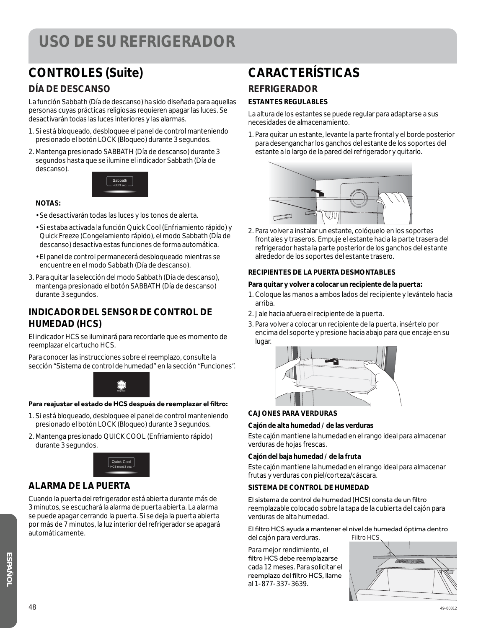### **CONTROLES (Suite)**

#### **DÍA DE DESCANSO**

La función Sabbath (Día de descanso) ha sido diseñada para aquellas personas cuyas prácticas religiosas requieren apagar las luces. Se desactivarán todas las luces interiores y las alarmas.

- 1. Si está bloqueado, desbloquee el panel de control manteniendo presionado el botón LOCK (Bloqueo) durante 3 segundos.
- 2. Mantenga presionado SABBATH (Día de descanso) durante 3 segundos hasta que se ilumine el indicador Sabbath (Día de descanso).



#### **NOTAS:**

- Se desactivarán todas las luces y los tonos de alerta.
- Si estaba activada la función Quick Cool (Enfriamiento rápido) y Quick Freeze (Congelamiento rápido), el modo Sabbath (Día de descanso) desactiva estas funciones de forma automática.
- El panel de control permanecerá desbloqueado mientras se encuentre en el modo Sabbath (Día de descanso).
- 3. Para quitar la selección del modo Sabbath (Día de descanso), mantenga presionado el botón SABBATH (Día de descanso) durante 3 segundos.

#### **INDICADOR DEL SENSOR DE CONTROL DE HUMEDAD (HCS)**

El indicador HCS se iluminará para recordarle que es momento de reemplazar el cartucho HCS.

Para conocer las instrucciones sobre el reemplazo, consulte la sección "Sistema de control de humedad" en la sección "Funciones".



#### Para reajustar el estado de HCS después de reemplazar el filtro:

- 1. Si está bloqueado, desbloquee el panel de control manteniendo presionado el botón LOCK (Bloqueo) durante 3 segundos.
- 2. Mantenga presionado QUICK COOL (Enfriamiento rápido) durante 3 segundos.



#### **ALARMA DE LA PUERTA**

Cuando la puerta del refrigerador está abierta durante más de 3 minutos, se escuchará la alarma de puerta abierta. La alarma se puede apagar cerrando la puerta. Si se deja la puerta abierta por más de 7 minutos, la luz interior del refrigerador se apagará automáticamente.

### **CARACTERÍSTICAS**

#### **REFRIGERADOR**

#### **ESTANTES REGULABLES**

La altura de los estantes se puede regular para adaptarse a sus necesidades de almacenamiento.

1. Para quitar un estante, levante la parte frontal y el borde posterior para desenganchar los ganchos del estante de los soportes del estante a lo largo de la pared del refrigerador y quitarlo.



2. Para volver a instalar un estante, colóquelo en los soportes frontales y traseros. Empuje el estante hacia la parte trasera del refrigerador hasta la parte posterior de los ganchos del estante alrededor de los soportes del estante trasero.

#### **RECIPIENTES DE LA PUERTA DESMONTABLES**

#### **Para quitar y volver a colocar un recipiente de la puerta:**

- 1. Coloque las manos a ambos lados del recipiente y levántelo hacia arriba.
- 2. Jale hacia afuera el recipiente de la puerta.
- 3. Para volver a colocar un recipiente de la puerta, insértelo por encima del soporte y presione hacia abajo para que encaje en su lugar.



#### **CAJONES PARA VERDURAS**

#### **Cajón de alta humedad / de las verduras**

Este cajón mantiene la humedad en el rango ideal para almacenar verduras de hojas frescas.

#### **Cajón del baja humedad / de la fruta**

Este cajón mantiene la humedad en el rango ideal para almacenar frutas y verduras con piel/corteza/cáscara.

#### **SISTEMA DE CONTROL DE HUMEDAD**

El sistema de control de humedad (HCS) consta de un filtro reemplazable colocado sobre la tapa de la cubierta del cajón para verduras de alta humedad.

El filtro HCS ayuda a mantener el nivel de humedad óptima dentro del cajón para verduras. Filtro HCS

Para mejor rendimiento, el filtro HCS debe reemplazarse cada 12 meses. Para solicitar el reemplazo del filtro HCS, llame al 1-877-337-3639.

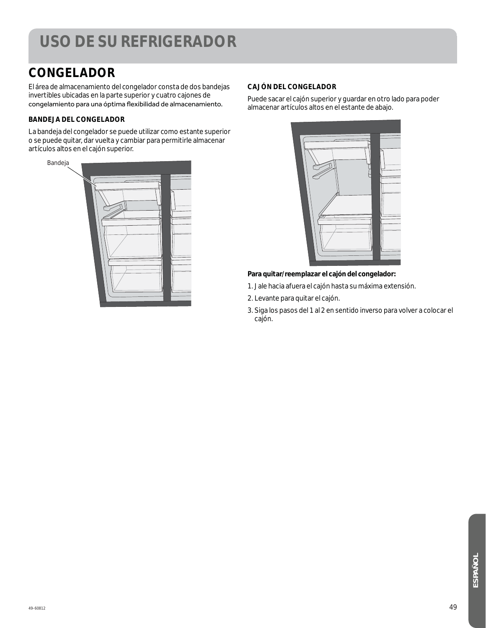### **CONGELADOR**

El área de almacenamiento del congelador consta de dos bandejas invertibles ubicadas en la parte superior y cuatro cajones de congelamiento para una óptima flexibilidad de almacenamiento.

#### **BANDEJA DEL CONGELADOR**

La bandeja del congelador se puede utilizar como estante superior o se puede quitar, dar vuelta y cambiar para permitirle almacenar artículos altos en el cajón superior.



#### **CAJÓN DEL CONGELADOR**

Puede sacar el cajón superior y guardar en otro lado para poder almacenar artículos altos en el estante de abajo.



#### **Para quitar/reemplazar el cajón del congelador:**

- 1. Jale hacia afuera el cajón hasta su máxima extensión.
- 2. Levante para quitar el cajón.
- 3. Siga los pasos del 1 al 2 en sentido inverso para volver a colocar el cajón.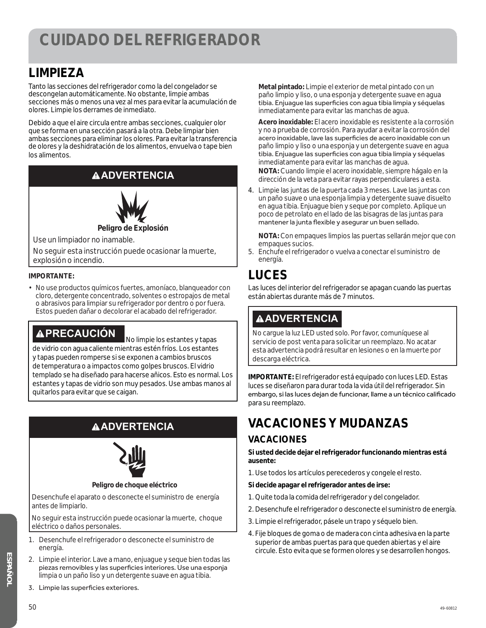### **LIMPIEZA**

Tanto las secciones del refrigerador como la del congelador se descongelan automáticamente. No obstante, limpie ambas secciones más o menos una vez al mes para evitar la acumulación de olores. Limpie los derrames de inmediato.

Debido a que el aire circula entre ambas secciones, cualquier olor que se forma en una sección pasará a la otra. Debe limpiar bien ambas secciones para eliminar los olores. Para evitar la transferencia de olores y la deshidratación de los alimentos, envuelva o tape bien los alimentos.

#### **ADVERTENCIA**



**Peligro de Explosión**

Use un limpiador no inamable.

No seguir esta instrucción puede ocasionar la muerte, explosión o incendio.

#### **IMPORTANTE:**

• No use productos químicos fuertes, amoníaco, blanqueador con cloro, detergente concentrado, solventes o estropajos de metal o abrasivos para limpiar su refrigerador por dentro o por fuera. Estos pueden dañar o decolorar el acabado del refrigerador.

**A PRECAUCIÓN** No limpie los estantes y tapas de vidrio con agua caliente mientras estén fríos. Los estantes y tapas pueden romperse si se exponen a cambios bruscos de temperatura o a impactos como golpes bruscos. El vidrio templado se ha diseñado para hacerse añicos. Esto es normal. Los estantes y tapas de vidrio son muy pesados. Use ambas manos al quitarlos para evitar que se caigan.

### **ADVERTENCIA**



#### **Peligro de choque eléctrico**

Desenchufe el aparato o desconecte el suministro de energía antes de limpiarlo.

No seguir esta instrucción puede ocasionar la muerte, choque eléctrico o daños personales.

- 1. Desenchufe el refrigerador o desconecte el suministro de energía.
- 2. Limpie el interior. Lave a mano, enjuague y seque bien todas las piezas removibles y las superficies interiores. Use una esponja limpia o un paño liso y un detergente suave en agua tibia.
- 3. Limpie las superficies exteriores.

 **Metal pintado:** Limpie el exterior de metal pintado con un paño limpio y liso, o una esponja y detergente suave en agua tibia. Enjuaque las superficies con agua tibia limpia y séquelas inmediatamente para evitar las manchas de agua.

 **Acero inoxidable:** El acero inoxidable es resistente a la corrosión y no a prueba de corrosión. Para ayudar a evitar la corrosión del acero inoxidable, lave las superficies de acero inoxidable con un paño limpio y liso o una esponja y un detergente suave en agua tibia. Enjuague las superficies con agua tibia limpia y séquelas inmediatamente para evitar las manchas de agua.  **NOTA:** Cuando limpie el acero inoxidable, siempre hágalo en la dirección de la veta para evitar rayas perpendiculares a esta.

4. Limpie las juntas de la puerta cada 3 meses. Lave las juntas con un paño suave o una esponja limpia y detergente suave disuelto en agua tibia. Enjuague bien y seque por completo. Aplique un poco de petrolato en el lado de las bisagras de las juntas para mantener la junta flexible y asegurar un buen sellado.

 **NOTA:** Con empaques limpios las puertas sellarán mejor que con empaques sucios.

5. Enchufe el refrigerador o vuelva a conectar el suministro de energía.

### **LUCES**

Las luces del interior del refrigerador se apagan cuando las puertas están abiertas durante más de 7 minutos.

### **ADVERTENCIA**

No cargue la luz LED usted solo. Por favor, comuníquese al servicio de post venta para solicitar un reemplazo. No acatar esta advertencia podrá resultar en lesiones o en la muerte por descarga eléctrica.

**IMPORTANTE:** El refrigerador está equipado con luces LED. Estas luces se diseñaron para durar toda la vida útil del refrigerador. Sin embargo, si las luces dejan de funcionar, llame a un técnico calificado para su reemplazo.

## **VACACIONES Y MUDANZAS**

#### **VACACIONES**

**Si usted decide dejar el refrigerador funcionando mientras está ausente:**

- 1. Use todos los artículos perecederos y congele el resto.
- **Si decide apagar el refrigerador antes de irse:**
- 1. Quite toda la comida del refrigerador y del congelador.
- 2. Desenchufe el refrigerador o desconecte el suministro de energía.
- 3. Limpie el refrigerador, pásele un trapo y séquelo bien.
- 4. Fije bloques de goma o de madera con cinta adhesiva en la parte superior de ambas puertas para que queden abiertas y el aire circule. Esto evita que se formen olores y se desarrollen hongos.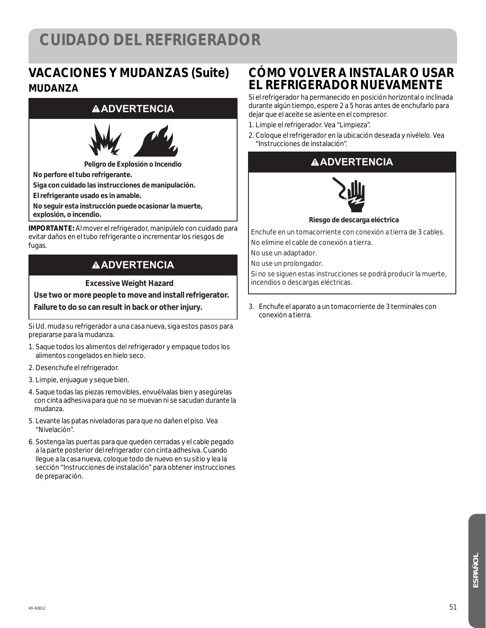### **CUIDADO DEL REFRIGERADOR**

### **VACACIONES Y MUDANZAS (Suite) MUDANZA**

#### **ADVERTENCIA**



**Peligro de Explosión o Incendio**

**No perfore el tubo refrigerante.**

**Siga con cuidado las instrucciones de manipulación.**

**El refrigerante usado es in amable.**

**No seguir esta instrucción puede ocasionar la muerte,** 

**explosión, o incendio.**

**IMPORTANTE:** Al mover el refrigerador, manipúlelo con cuidado para evitar daños en el tubo refrigerante o incrementar los riesgos de fugas.

#### **ADVERTENCIA**

**Excessive Weight Hazard** 

**Use two or more people to move and install refrigerator.** 

**Failure to do so can result in back or other injury.** 

Si Ud. muda su refrigerador a una casa nueva, siga estos pasos para prepararse para la mudanza.

- 1. Saque todos los alimentos del refrigerador y empaque todos los alimentos congelados en hielo seco.
- 2. Desenchufe el refrigerador.
- 3. Limpie, enjuague y seque bien.
- 4. Saque todas las piezas removibles, envuélvalas bien y asegúrelas con cinta adhesiva para que no se muevan ni se sacudan durante la mudanza.
- 5. Levante las patas niveladoras para que no dañen el piso. Vea "Nivelación".
- 6. Sostenga las puertas para que queden cerradas y el cable pegado a la parte posterior del refrigerador con cinta adhesiva. Cuando llegue a la casa nueva, coloque todo de nuevo en su sitio y lea la sección "Instrucciones de instalación" para obtener instrucciones de preparación.

#### **CÓMO VOLVER A INSTALAR O USAR EL REFRIGERADOR NUEVAMENTE**

Si el refrigerador ha permanecido en posición horizontal o inclinada durante algún tiempo, espere 2 a 5 horas antes de enchufarlo para dejar que el aceite se asiente en el compresor.

- 1. Limpie el refrigerador. Vea "Limpieza".
- 2. Coloque el refrigerador en la ubicación deseada y nivélelo. Vea "Instrucciones de instalación".

#### **ADVERTENCIA**



**Riesgo de descarga eléctrica**

Enchufe en un tomacorriente con conexión a tierra de 3 cables. No elimine el cable de conexión a tierra.

No use un adaptador.

No use un prolongador.

Si no se siguen estas instrucciones se podrá producir la muerte, incendios o descargas eléctricas.

3. Enchufe el aparato a un tomacorriente de 3 terminales con conexión a tierra.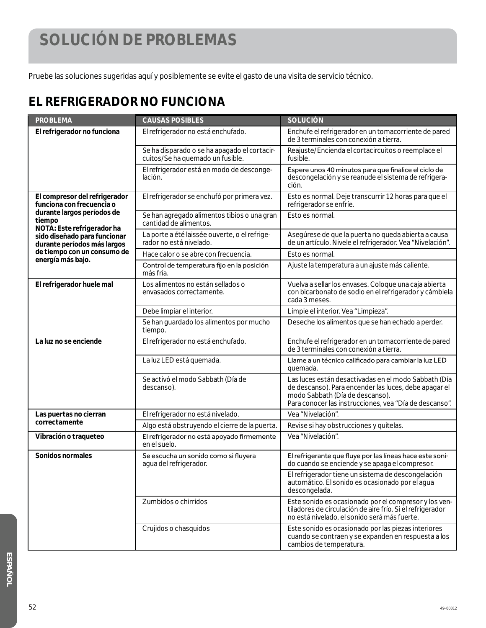### **SOLUCIÓN DE PROBLEMAS**

Pruebe las soluciones sugeridas aquí y posiblemente se evite el gasto de una visita de servicio técnico.

### **EL REFRIGERADOR NO FUNCIONA**

| <b>PROBLEMA</b>                                                                                                                                                                                                                                     | <b>CAUSAS POSIBLES</b>                                                           | <b>SOLUCIÓN</b>                                                                                                                                                                                            |
|-----------------------------------------------------------------------------------------------------------------------------------------------------------------------------------------------------------------------------------------------------|----------------------------------------------------------------------------------|------------------------------------------------------------------------------------------------------------------------------------------------------------------------------------------------------------|
| El refrigerador no funciona                                                                                                                                                                                                                         | El refrigerador no está enchufado.                                               | Enchufe el refrigerador en un tomacorriente de pared<br>de 3 terminales con conexión a tierra.                                                                                                             |
|                                                                                                                                                                                                                                                     | Se ha disparado o se ha apagado el cortacir-<br>cuitos/Se ha quemado un fusible. | Reajuste/Encienda el cortacircuitos o reemplace el<br>fusible.                                                                                                                                             |
|                                                                                                                                                                                                                                                     | El refrigerador está en modo de desconge-<br>lación.                             | Espere unos 40 minutos para que finalice el ciclo de<br>descongelación y se reanude el sistema de refrigera-<br>ción.                                                                                      |
| El compresor del refrigerador<br>funciona con frecuencia o<br>durante largos períodos de<br>tiempo<br>NOTA: Este refrigerador ha<br>sido diseñado para funcionar<br>durante períodos más largos<br>de tiempo con un consumo de<br>energía más bajo. | El refrigerador se enchufó por primera vez.                                      | Esto es normal. Deje transcurrir 12 horas para que el<br>refrigerador se enfríe.                                                                                                                           |
|                                                                                                                                                                                                                                                     | Se han agregado alimentos tibios o una gran<br>cantidad de alimentos.            | Esto es normal.                                                                                                                                                                                            |
|                                                                                                                                                                                                                                                     | La porte a été laissée ouverte, o el refrige-<br>rador no está nivelado.         | Asegúrese de que la puerta no queda abierta a causa<br>de un artículo. Nivele el refrigerador. Vea "Nivelación".                                                                                           |
|                                                                                                                                                                                                                                                     | Hace calor o se abre con frecuencia.                                             | Esto es normal.                                                                                                                                                                                            |
|                                                                                                                                                                                                                                                     | Control de temperatura fijo en la posición<br>más fría.                          | Ajuste la temperatura a un ajuste más caliente.                                                                                                                                                            |
| El refrigerador huele mal                                                                                                                                                                                                                           | Los alimentos no están sellados o<br>envasados correctamente.                    | Vuelva a sellar los envases. Coloque una caja abierta<br>con bicarbonato de sodio en el refrigerador y cámbiela<br>cada 3 meses.                                                                           |
|                                                                                                                                                                                                                                                     | Debe limpiar el interior.                                                        | Limpie el interior. Vea "Limpieza".                                                                                                                                                                        |
|                                                                                                                                                                                                                                                     | Se han guardado los alimentos por mucho<br>tiempo.                               | Deseche los alimentos que se han echado a perder.                                                                                                                                                          |
| La luz no se enciende                                                                                                                                                                                                                               | El refrigerador no está enchufado.                                               | Enchufe el refrigerador en un tomacorriente de pared<br>de 3 terminales con conexión a tierra.                                                                                                             |
|                                                                                                                                                                                                                                                     | La luz LED está quemada.                                                         | Llame a un técnico calificado para cambiar la luz LED<br>quemada.                                                                                                                                          |
|                                                                                                                                                                                                                                                     | Se activó el modo Sabbath (Día de<br>descanso).                                  | Las luces están desactivadas en el modo Sabbath (Día<br>de descanso). Para encender las luces, debe apagar el<br>modo Sabbath (Día de descanso).<br>Para conocer las instrucciones, vea "Día de descanso". |
| Las puertas no cierran<br>correctamente                                                                                                                                                                                                             | El refrigerador no está nivelado.                                                | Vea "Nivelación".                                                                                                                                                                                          |
|                                                                                                                                                                                                                                                     | Algo está obstruyendo el cierre de la puerta.                                    | Revise si hay obstrucciones y quítelas.                                                                                                                                                                    |
| Vibración o traqueteo                                                                                                                                                                                                                               | El refrigerador no está apoyado firmemente<br>en el suelo.                       | Vea "Nivelación".                                                                                                                                                                                          |
| Sonidos normales                                                                                                                                                                                                                                    | Se escucha un sonido como si fluyera<br>agua del refrigerador.                   | El refrigerante que fluye por las líneas hace este soni-<br>do cuando se enciende y se apaga el compresor.                                                                                                 |
|                                                                                                                                                                                                                                                     |                                                                                  | El refrigerador tiene un sistema de descongelación<br>automático. El sonido es ocasionado por el agua<br>descongelada.                                                                                     |
|                                                                                                                                                                                                                                                     | Zumbidos o chirridos                                                             | Este sonido es ocasionado por el compresor y los ven-<br>tiladores de circulación de aire frío. Si el refrigerador<br>no está nivelado, el sonido será más fuerte.                                         |
|                                                                                                                                                                                                                                                     | Crujidos o chasquidos                                                            | Este sonido es ocasionado por las piezas interiores<br>cuando se contraen y se expanden en respuesta a los<br>cambios de temperatura.                                                                      |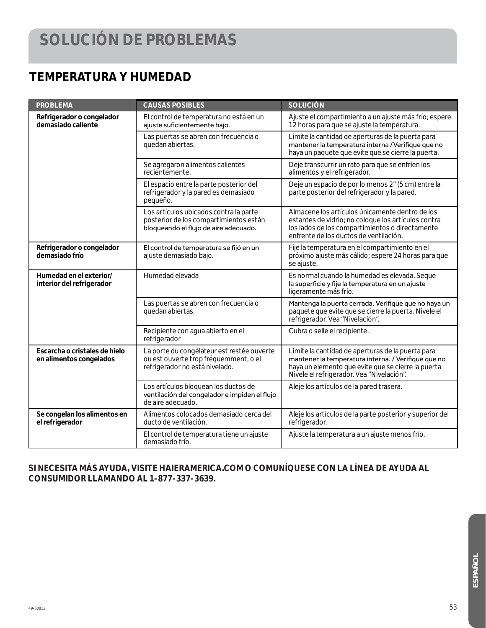### **TEMPERATURA Y HUMEDAD**

| <b>PROBLEMA</b>                                          | <b>CAUSAS POSIBLES</b>                                                                                                    | <b>SOLUCIÓN</b>                                                                                                                                                                                             |
|----------------------------------------------------------|---------------------------------------------------------------------------------------------------------------------------|-------------------------------------------------------------------------------------------------------------------------------------------------------------------------------------------------------------|
| Refrigerador o congelador<br>demasiado caliente          | El control de temperatura no está en un<br>ajuste suficientemente bajo.                                                   | Ajuste el compartimiento a un ajuste más frío; espere<br>12 horas para que se ajuste la temperatura.                                                                                                        |
|                                                          | Las puertas se abren con frecuencia o<br>quedan abiertas.                                                                 | Limite la cantidad de aperturas de la puerta para<br>mantener la temperatura interna / Verifique que no<br>haya un paquete que evite que se cierre la puerta.                                               |
|                                                          | Se agregaron alimentos calientes<br>recientemente.                                                                        | Deje transcurrir un rato para que se enfríen los<br>alimentos y el refrigerador.                                                                                                                            |
|                                                          | El espacio entre la parte posterior del<br>refrigerador y la pared es demasiado<br>pequeño.                               | Deje un espacio de por lo menos 2" (5 cm) entre la<br>parte posterior del refrigerador y la pared.                                                                                                          |
|                                                          | Los artículos ubicados contra la parte<br>posterior de los compartimientos están<br>bloqueando el flujo de aire adecuado. | Almacene los artículos únicamente dentro de los<br>estantes de vidrio; no coloque los artículos contra<br>los lados de los compartimientos o directamente<br>enfrente de los ductos de ventilación.         |
| Refrigerador o congelador<br>demasiado frío              | El control de temperatura se fijó en un<br>ajuste demasiado bajo.                                                         | Fije la temperatura en el compartimiento en el<br>próximo ajuste más cálido; espere 24 horas para que<br>se ajuste.                                                                                         |
| Humedad en el exterior/<br>interior del refrigerador     | Humedad elevada                                                                                                           | Es normal cuando la humedad es elevada. Seque<br>la superficie y fije la temperatura en un ajuste<br>ligeramente más frío.                                                                                  |
|                                                          | Las puertas se abren con frecuencia o<br>quedan abiertas.                                                                 | Mantenga la puerta cerrada. Verifique que no haya un<br>paquete que evite que se cierre la puerta. Nivele el<br>refrigerador. Vea "Nivelación".                                                             |
|                                                          | Recipiente con agua abierto en el<br>refrigerador                                                                         | Cubra o selle el recipiente.                                                                                                                                                                                |
| Escarcha o cristales de hielo<br>en alimentos congelados | La porte du congélateur est restée ouverte<br>ou est ouverte trop fréquemment, o el<br>refrigerador no está nivelado.     | Limite la cantidad de aperturas de la puerta para<br>mantener la temperatura interna. / Verifique que no<br>haya un elemento que evite que se cierre la puerta<br>Nivele el refrigerador. Vea "Nivelación". |
|                                                          | Los artículos bloquean los ductos de<br>ventilación del congelador e impiden el flujo<br>de aire adecuado.                | Aleje los artículos de la pared trasera.                                                                                                                                                                    |
| Se congelan los alimentos en<br>el refrigerador          | Alimentos colocados demasiado cerca del<br>ducto de ventilación.                                                          | Aleje los artículos de la parte posterior y superior del<br>refrigerador.                                                                                                                                   |
|                                                          | El control de temperatura tiene un ajuste<br>demasiado frío.                                                              | Ajuste la temperatura a un ajuste menos frío.                                                                                                                                                               |

#### **SI NECESITA MÁS AYUDA, VISITE HAIERAMERICA.COM O COMUNÍQUESE CON LA LÍNEA DE AYUDA AL CONSUMIDOR LLAMANDO AL 1-877-337-3639.**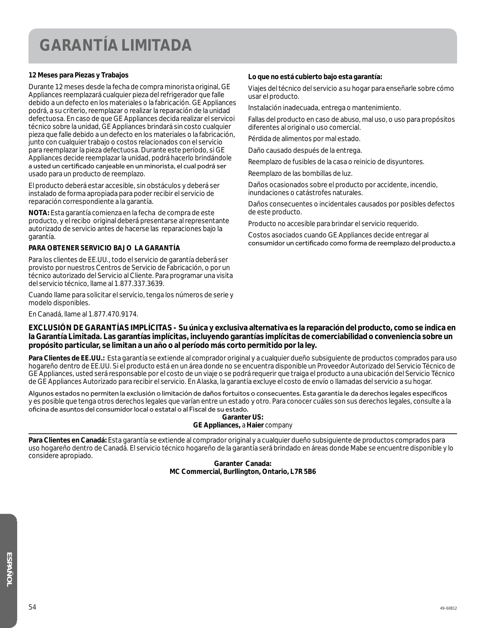### **GARANTÍA LIMITADA**

#### **12 Meses para Piezas y Trabajos**

Durante 12 meses desde la fecha de compra minorista original, GE Appliances reemplazará cualquier pieza del refrigerador que falle debido a un defecto en los materiales o la fabricación. GE Appliances podrá, a su criterio, reemplazar o realizar la reparación de la unidad defectuosa. En caso de que GE Appliances decida realizar el servicoi técnico sobre la unidad, GE Appliances brindará sin costo cualquier pieza que falle debido a un defecto en los materiales o la fabricación, junto con cualquier trabajo o costos relacionados con el servicio para reemplazar la pieza defectuosa. Durante este período, si GE Appliances decide reemplazar la unidad, podrá hacerlo brindándole a usted un certificado canjeable en un minorista, el cual podrá ser usado para un producto de reemplazo.

El producto deberá estar accesible, sin obstáculos y deberá ser instalado de forma apropiada para poder recibir el servicio de reparación correspondiente a la garantía.

**NOTA:** Esta garantía comienza en la fecha de compra de este producto, y el recibo original deberá presentarse al representante autorizado de servicio antes de hacerse las reparaciones bajo la garantía.

#### **PARA OBTENER SERVICIO BAJO LA GARANTÍA**

Para los clientes de EE.UU., todo el servicio de garantía deberá ser provisto por nuestros Centros de Servicio de Fabricación, o por un técnico autorizado del Servicio al Cliente. Para programar una visita del servicio técnico, llame al 1.877.337.3639.

Cuando llame para solicitar el servicio, tenga los números de serie y modelo disponibles.

En Canadá, llame al 1.877.470.9174.

#### **Lo que no está cubierto bajo esta garantía:**

Viajes del técnico del servicio a su hogar para enseñarle sobre cómo usar el producto.

Instalación inadecuada, entrega o mantenimiento.

Fallas del producto en caso de abuso, mal uso, o uso para propósitos diferentes al original o uso comercial.

Pérdida de alimentos por mal estado.

Daño causado después de la entrega.

Reemplazo de fusibles de la casa o reinicio de disyuntores.

Reemplazo de las bombillas de luz.

Daños ocasionados sobre el producto por accidente, incendio, inundaciones o catástrofes naturales.

Daños consecuentes o incidentales causados por posibles defectos de este producto.

Producto no accesible para brindar el servicio requerido.

Costos asociados cuando GE Appliances decide entregar al consumidor un certificado como forma de reemplazo del producto.a

#### **EXCLUSIÓN DE GARANTÍAS IMPLÍCITAS - Su única y exclusiva alternativa es la reparación del producto, como se indica en la Garantía Limitada. Las garantías implícitas, incluyendo garantías implícitas de comerciabilidad o conveniencia sobre un propósito particular, se limitan a un año o al período más corto permitido por la ley.**

**Para Clientes de EE.UU.:** Esta garantía se extiende al comprador original y a cualquier dueño subsiguiente de productos comprados para uso hogareño dentro de EE.UU. Si el producto está en un área donde no se encuentra disponible un Proveedor Autorizado del Servicio Técnico de GE Appliances, usted será responsable por el costo de un viaje o se podrá requerir que traiga el producto a una ubicación del Servicio Técnico de GE Appliances Autorizado para recibir el servicio. En Alaska, la garantía excluye el costo de envío o llamadas del servicio a su hogar.

Algunos estados no permiten la exclusión o limitación de daños fortuitos o consecuentes. Esta garantía le da derechos legales específicos y es posible que tenga otros derechos legales que varían entre un estado y otro. Para conocer cuáles son sus derechos legales, consulte a la oficina de asuntos del consumidor local o estatal o al Fiscal de su estado.

**Garanter US: GE Appliances,** *a* **Haier** *company*

**Para Clientes en Canadá:** Esta garantía se extiende al comprador original y a cualquier dueño subsiguiente de productos comprados para uso hogareño dentro de Canadá. El servicio técnico hogareño de la garantía será brindado en áreas donde Mabe se encuentre disponible y lo considere apropiado.

> **Garanter Canada: MC Commercial, Burllington, Ontario, L7R 5B6**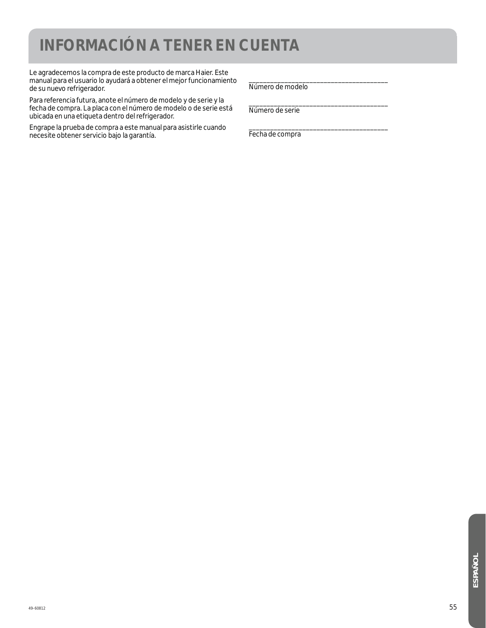### **INFORMACIÓN A TENER EN CUENTA**

Le agradecemos la compra de este producto de marca Haier. Este manual para el usuario lo ayudará a obtener el mejor funcionamiento de su nuevo refrigerador.

Para referencia futura, anote el número de modelo y de serie y la fecha de compra. La placa con el número de modelo o de serie está ubicada en una etiqueta dentro del refrigerador.

Engrape la prueba de compra a este manual para asistirle cuando necesite obtener servicio bajo la garantía.

\_\_\_\_\_\_\_\_\_\_\_\_\_\_\_\_\_\_\_\_\_\_\_\_\_\_\_\_\_\_\_\_\_\_\_\_\_\_\_ Número de modelo

\_\_\_\_\_\_\_\_\_\_\_\_\_\_\_\_\_\_\_\_\_\_\_\_\_\_\_\_\_\_\_\_\_\_\_\_\_\_\_ Número de serie

\_\_\_\_\_\_\_\_\_\_\_\_\_\_\_\_\_\_\_\_\_\_\_\_\_\_\_\_\_\_\_\_\_\_\_\_\_\_\_ Fecha de compra